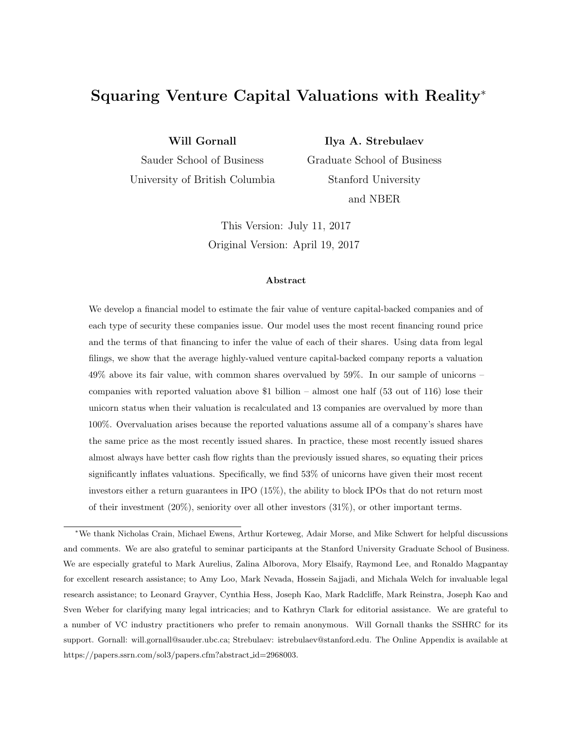# Squaring Venture Capital Valuations with Reality<sup>∗</sup>

Will Gornall

Sauder School of Business

University of British Columbia

Ilya A. Strebulaev

Graduate School of Business Stanford University and NBER

This Version: July 11, 2017 Original Version: April 19, 2017

#### Abstract

We develop a financial model to estimate the fair value of venture capital-backed companies and of each type of security these companies issue. Our model uses the most recent financing round price and the terms of that financing to infer the value of each of their shares. Using data from legal filings, we show that the average highly-valued venture capital-backed company reports a valuation 49% above its fair value, with common shares overvalued by 59%. In our sample of unicorns – companies with reported valuation above \$1 billion – almost one half (53 out of 116) lose their unicorn status when their valuation is recalculated and 13 companies are overvalued by more than 100%. Overvaluation arises because the reported valuations assume all of a company's shares have the same price as the most recently issued shares. In practice, these most recently issued shares almost always have better cash flow rights than the previously issued shares, so equating their prices significantly inflates valuations. Specifically, we find 53% of unicorns have given their most recent investors either a return guarantees in IPO (15%), the ability to block IPOs that do not return most of their investment  $(20\%)$ , seniority over all other investors  $(31\%)$ , or other important terms.

<sup>∗</sup>We thank Nicholas Crain, Michael Ewens, Arthur Korteweg, Adair Morse, and Mike Schwert for helpful discussions and comments. We are also grateful to seminar participants at the Stanford University Graduate School of Business. We are especially grateful to Mark Aurelius, Zalina Alborova, Mory Elsaify, Raymond Lee, and Ronaldo Magpantay for excellent research assistance; to Amy Loo, Mark Nevada, Hossein Sajjadi, and Michala Welch for invaluable legal research assistance; to Leonard Grayver, Cynthia Hess, Joseph Kao, Mark Radcliffe, Mark Reinstra, Joseph Kao and Sven Weber for clarifying many legal intricacies; and to Kathryn Clark for editorial assistance. We are grateful to a number of VC industry practitioners who prefer to remain anonymous. Will Gornall thanks the SSHRC for its support. Gornall: will.gornall@sauder.ubc.ca; Strebulaev: istrebulaev@stanford.edu. The Online Appendix is available at https://papers.ssrn.com/sol3/papers.cfm?abstract\_id=2968003.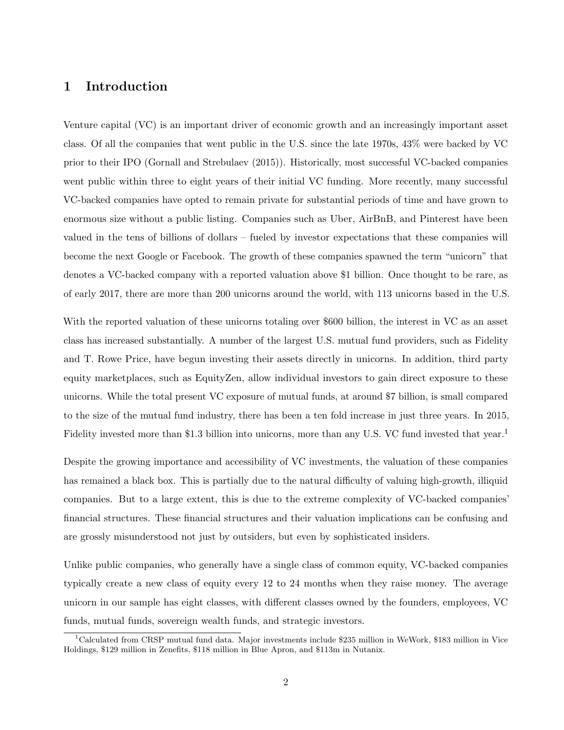## 1 Introduction

Venture capital (VC) is an important driver of economic growth and an increasingly important asset class. Of all the companies that went public in the U.S. since the late 1970s, 43% were backed by VC prior to their IPO (Gornall and Strebulaev (2015)). Historically, most successful VC-backed companies went public within three to eight years of their initial VC funding. More recently, many successful VC-backed companies have opted to remain private for substantial periods of time and have grown to enormous size without a public listing. Companies such as Uber, AirBnB, and Pinterest have been valued in the tens of billions of dollars – fueled by investor expectations that these companies will become the next Google or Facebook. The growth of these companies spawned the term "unicorn" that denotes a VC-backed company with a reported valuation above \$1 billion. Once thought to be rare, as of early 2017, there are more than 200 unicorns around the world, with 113 unicorns based in the U.S.

With the reported valuation of these unicorns totaling over \$600 billion, the interest in VC as an asset class has increased substantially. A number of the largest U.S. mutual fund providers, such as Fidelity and T. Rowe Price, have begun investing their assets directly in unicorns. In addition, third party equity marketplaces, such as EquityZen, allow individual investors to gain direct exposure to these unicorns. While the total present VC exposure of mutual funds, at around \$7 billion, is small compared to the size of the mutual fund industry, there has been a ten fold increase in just three years. In 2015, Fidelity invested more than \$1.3 billion into unicorns, more than any U.S. VC fund invested that year.<sup>1</sup>

Despite the growing importance and accessibility of VC investments, the valuation of these companies has remained a black box. This is partially due to the natural difficulty of valuing high-growth, illiquid companies. But to a large extent, this is due to the extreme complexity of VC-backed companies' financial structures. These financial structures and their valuation implications can be confusing and are grossly misunderstood not just by outsiders, but even by sophisticated insiders.

Unlike public companies, who generally have a single class of common equity, VC-backed companies typically create a new class of equity every 12 to 24 months when they raise money. The average unicorn in our sample has eight classes, with different classes owned by the founders, employees, VC funds, mutual funds, sovereign wealth funds, and strategic investors.

<sup>1</sup>Calculated from CRSP mutual fund data. Major investments include \$235 million in WeWork, \$183 million in Vice Holdings, \$129 million in Zenefits, \$118 million in Blue Apron, and \$113m in Nutanix.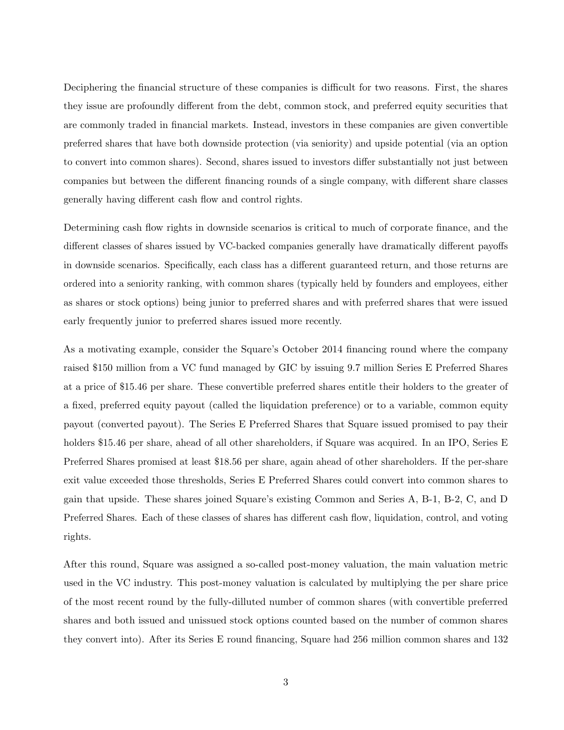Deciphering the financial structure of these companies is difficult for two reasons. First, the shares they issue are profoundly different from the debt, common stock, and preferred equity securities that are commonly traded in financial markets. Instead, investors in these companies are given convertible preferred shares that have both downside protection (via seniority) and upside potential (via an option to convert into common shares). Second, shares issued to investors differ substantially not just between companies but between the different financing rounds of a single company, with different share classes generally having different cash flow and control rights.

Determining cash flow rights in downside scenarios is critical to much of corporate finance, and the different classes of shares issued by VC-backed companies generally have dramatically different payoffs in downside scenarios. Specifically, each class has a different guaranteed return, and those returns are ordered into a seniority ranking, with common shares (typically held by founders and employees, either as shares or stock options) being junior to preferred shares and with preferred shares that were issued early frequently junior to preferred shares issued more recently.

As a motivating example, consider the Square's October 2014 financing round where the company raised \$150 million from a VC fund managed by GIC by issuing 9.7 million Series E Preferred Shares at a price of \$15.46 per share. These convertible preferred shares entitle their holders to the greater of a fixed, preferred equity payout (called the liquidation preference) or to a variable, common equity payout (converted payout). The Series E Preferred Shares that Square issued promised to pay their holders \$15.46 per share, ahead of all other shareholders, if Square was acquired. In an IPO, Series E Preferred Shares promised at least \$18.56 per share, again ahead of other shareholders. If the per-share exit value exceeded those thresholds, Series E Preferred Shares could convert into common shares to gain that upside. These shares joined Square's existing Common and Series A, B-1, B-2, C, and D Preferred Shares. Each of these classes of shares has different cash flow, liquidation, control, and voting rights.

After this round, Square was assigned a so-called post-money valuation, the main valuation metric used in the VC industry. This post-money valuation is calculated by multiplying the per share price of the most recent round by the fully-dilluted number of common shares (with convertible preferred shares and both issued and unissued stock options counted based on the number of common shares they convert into). After its Series E round financing, Square had 256 million common shares and 132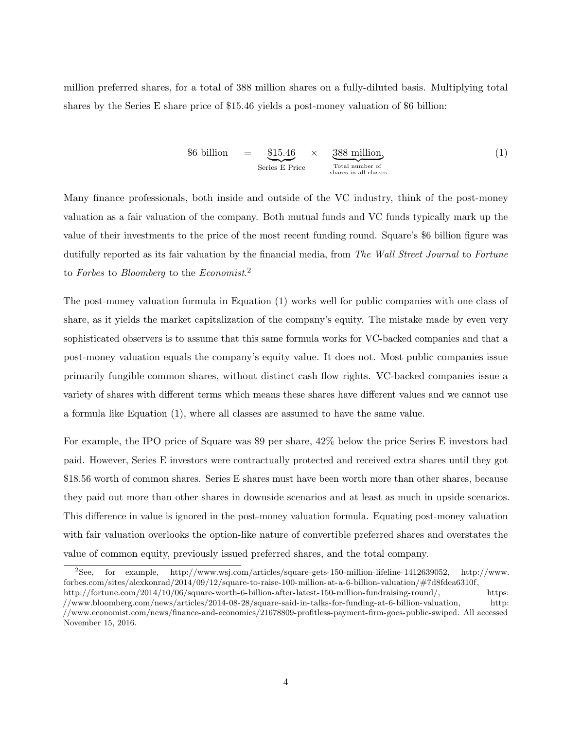million preferred shares, for a total of 388 million shares on a fully-diluted basis. Multiplying total shares by the Series E share price of \$15.46 yields a post-money valuation of \$6 billion:

$$
$6 \text{ billion} = \underbrace{\$15.46}_{\text{Series E Price}} \times \underbrace{388 \text{ million}}_{\text{Total number of} \atop \text{shares in all classes}} \tag{1}
$$

Many finance professionals, both inside and outside of the VC industry, think of the post-money valuation as a fair valuation of the company. Both mutual funds and VC funds typically mark up the value of their investments to the price of the most recent funding round. Square's \$6 billion figure was dutifully reported as its fair valuation by the financial media, from The Wall Street Journal to Fortune to Forbes to Bloomberg to the Economist.<sup>2</sup>

The post-money valuation formula in Equation (1) works well for public companies with one class of share, as it yields the market capitalization of the company's equity. The mistake made by even very sophisticated observers is to assume that this same formula works for VC-backed companies and that a post-money valuation equals the company's equity value. It does not. Most public companies issue primarily fungible common shares, without distinct cash flow rights. VC-backed companies issue a variety of shares with different terms which means these shares have different values and we cannot use a formula like Equation (1), where all classes are assumed to have the same value.

For example, the IPO price of Square was \$9 per share, 42% below the price Series E investors had paid. However, Series E investors were contractually protected and received extra shares until they got \$18.56 worth of common shares. Series E shares must have been worth more than other shares, because they paid out more than other shares in downside scenarios and at least as much in upside scenarios. This difference in value is ignored in the post-money valuation formula. Equating post-money valuation with fair valuation overlooks the option-like nature of convertible preferred shares and overstates the value of common equity, previously issued preferred shares, and the total company.

<sup>2</sup>See, for example, http://www.wsj.com/articles/square-gets-150-million-lifeline-1412639052, http://www. forbes.com/sites/alexkonrad/2014/09/12/square-to-raise-100-million-at-a-6-billion-valuation/#7d8fdea6310f,

http://fortune.com/2014/10/06/square-worth-6-billion-after-latest-150-million-fundraising-round/, https: //www.bloomberg.com/news/articles/2014-08-28/square-said-in-talks-for-funding-at-6-billion-valuation, http: //www.economist.com/news/finance-and-economics/21678809-profitless-payment-firm-goes-public-swiped. All accessed November 15, 2016.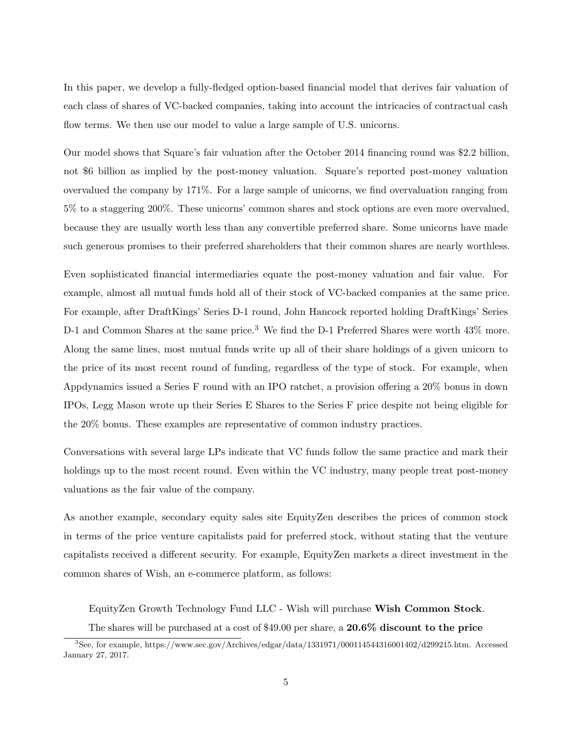In this paper, we develop a fully-fledged option-based financial model that derives fair valuation of each class of shares of VC-backed companies, taking into account the intricacies of contractual cash flow terms. We then use our model to value a large sample of U.S. unicorns.

Our model shows that Square's fair valuation after the October 2014 financing round was \$2.2 billion, not \$6 billion as implied by the post-money valuation. Square's reported post-money valuation overvalued the company by 171%. For a large sample of unicorns, we find overvaluation ranging from 5% to a staggering 200%. These unicorns' common shares and stock options are even more overvalued, because they are usually worth less than any convertible preferred share. Some unicorns have made such generous promises to their preferred shareholders that their common shares are nearly worthless.

Even sophisticated financial intermediaries equate the post-money valuation and fair value. For example, almost all mutual funds hold all of their stock of VC-backed companies at the same price. For example, after DraftKings' Series D-1 round, John Hancock reported holding DraftKings' Series D-1 and Common Shares at the same price.<sup>3</sup> We find the D-1 Preferred Shares were worth 43% more. Along the same lines, most mutual funds write up all of their share holdings of a given unicorn to the price of its most recent round of funding, regardless of the type of stock. For example, when Appdynamics issued a Series F round with an IPO ratchet, a provision offering a 20% bonus in down IPOs, Legg Mason wrote up their Series E Shares to the Series F price despite not being eligible for the 20% bonus. These examples are representative of common industry practices.

Conversations with several large LPs indicate that VC funds follow the same practice and mark their holdings up to the most recent round. Even within the VC industry, many people treat post-money valuations as the fair value of the company.

As another example, secondary equity sales site EquityZen describes the prices of common stock in terms of the price venture capitalists paid for preferred stock, without stating that the venture capitalists received a different security. For example, EquityZen markets a direct investment in the common shares of Wish, an e-commerce platform, as follows:

EquityZen Growth Technology Fund LLC - Wish will purchase Wish Common Stock. The shares will be purchased at a cost of \$49.00 per share, a  $20.6\%$  discount to the price

<sup>3</sup>See, for example, https://www.sec.gov/Archives/edgar/data/1331971/000114544316001402/d299215.htm. Accessed January 27, 2017.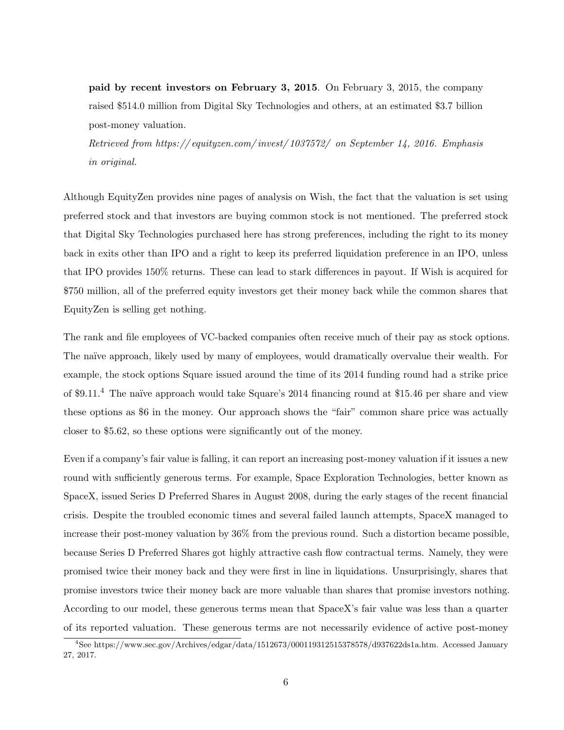paid by recent investors on February 3, 2015. On February 3, 2015, the company raised \$514.0 million from Digital Sky Technologies and others, at an estimated \$3.7 billion post-money valuation.

Retrieved from https:// equityzen.com/ invest/ 1037572/ on September 14, 2016. Emphasis in original.

Although EquityZen provides nine pages of analysis on Wish, the fact that the valuation is set using preferred stock and that investors are buying common stock is not mentioned. The preferred stock that Digital Sky Technologies purchased here has strong preferences, including the right to its money back in exits other than IPO and a right to keep its preferred liquidation preference in an IPO, unless that IPO provides 150% returns. These can lead to stark differences in payout. If Wish is acquired for \$750 million, all of the preferred equity investors get their money back while the common shares that EquityZen is selling get nothing.

The rank and file employees of VC-backed companies often receive much of their pay as stock options. The naïve approach, likely used by many of employees, would dramatically overvalue their wealth. For example, the stock options Square issued around the time of its 2014 funding round had a strike price of \$9.11.<sup>4</sup> The naïve approach would take Square's 2014 financing round at \$15.46 per share and view these options as \$6 in the money. Our approach shows the "fair" common share price was actually closer to \$5.62, so these options were significantly out of the money.

Even if a company's fair value is falling, it can report an increasing post-money valuation if it issues a new round with sufficiently generous terms. For example, Space Exploration Technologies, better known as SpaceX, issued Series D Preferred Shares in August 2008, during the early stages of the recent financial crisis. Despite the troubled economic times and several failed launch attempts, SpaceX managed to increase their post-money valuation by 36% from the previous round. Such a distortion became possible, because Series D Preferred Shares got highly attractive cash flow contractual terms. Namely, they were promised twice their money back and they were first in line in liquidations. Unsurprisingly, shares that promise investors twice their money back are more valuable than shares that promise investors nothing. According to our model, these generous terms mean that SpaceX's fair value was less than a quarter of its reported valuation. These generous terms are not necessarily evidence of active post-money

<sup>4</sup>See https://www.sec.gov/Archives/edgar/data/1512673/000119312515378578/d937622ds1a.htm. Accessed January 27, 2017.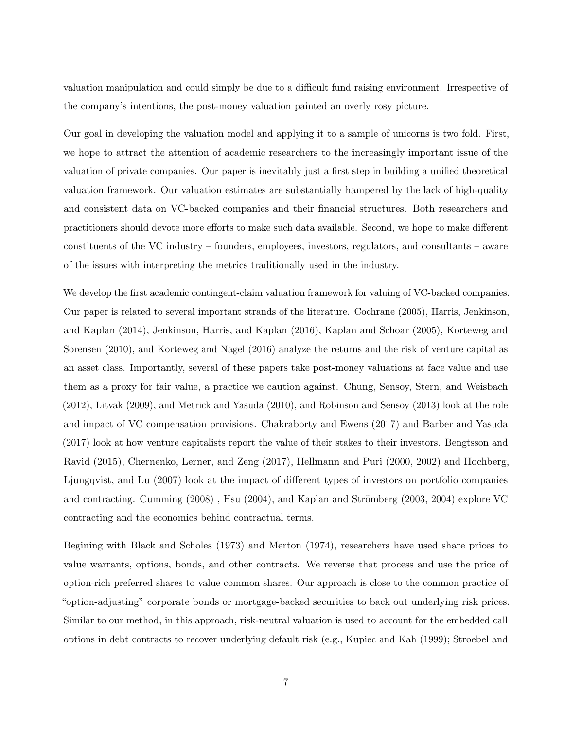valuation manipulation and could simply be due to a difficult fund raising environment. Irrespective of the company's intentions, the post-money valuation painted an overly rosy picture.

Our goal in developing the valuation model and applying it to a sample of unicorns is two fold. First, we hope to attract the attention of academic researchers to the increasingly important issue of the valuation of private companies. Our paper is inevitably just a first step in building a unified theoretical valuation framework. Our valuation estimates are substantially hampered by the lack of high-quality and consistent data on VC-backed companies and their financial structures. Both researchers and practitioners should devote more efforts to make such data available. Second, we hope to make different constituents of the VC industry – founders, employees, investors, regulators, and consultants – aware of the issues with interpreting the metrics traditionally used in the industry.

We develop the first academic contingent-claim valuation framework for valuing of VC-backed companies. Our paper is related to several important strands of the literature. Cochrane (2005), Harris, Jenkinson, and Kaplan (2014), Jenkinson, Harris, and Kaplan (2016), Kaplan and Schoar (2005), Korteweg and Sorensen (2010), and Korteweg and Nagel (2016) analyze the returns and the risk of venture capital as an asset class. Importantly, several of these papers take post-money valuations at face value and use them as a proxy for fair value, a practice we caution against. Chung, Sensoy, Stern, and Weisbach (2012), Litvak (2009), and Metrick and Yasuda (2010), and Robinson and Sensoy (2013) look at the role and impact of VC compensation provisions. Chakraborty and Ewens (2017) and Barber and Yasuda (2017) look at how venture capitalists report the value of their stakes to their investors. Bengtsson and Ravid (2015), Chernenko, Lerner, and Zeng (2017), Hellmann and Puri (2000, 2002) and Hochberg, Ljungqvist, and Lu (2007) look at the impact of different types of investors on portfolio companies and contracting. Cumming  $(2008)$ , Hsu  $(2004)$ , and Kaplan and Strömberg  $(2003, 2004)$  explore VC contracting and the economics behind contractual terms.

Begining with Black and Scholes (1973) and Merton (1974), researchers have used share prices to value warrants, options, bonds, and other contracts. We reverse that process and use the price of option-rich preferred shares to value common shares. Our approach is close to the common practice of "option-adjusting" corporate bonds or mortgage-backed securities to back out underlying risk prices. Similar to our method, in this approach, risk-neutral valuation is used to account for the embedded call options in debt contracts to recover underlying default risk (e.g., Kupiec and Kah (1999); Stroebel and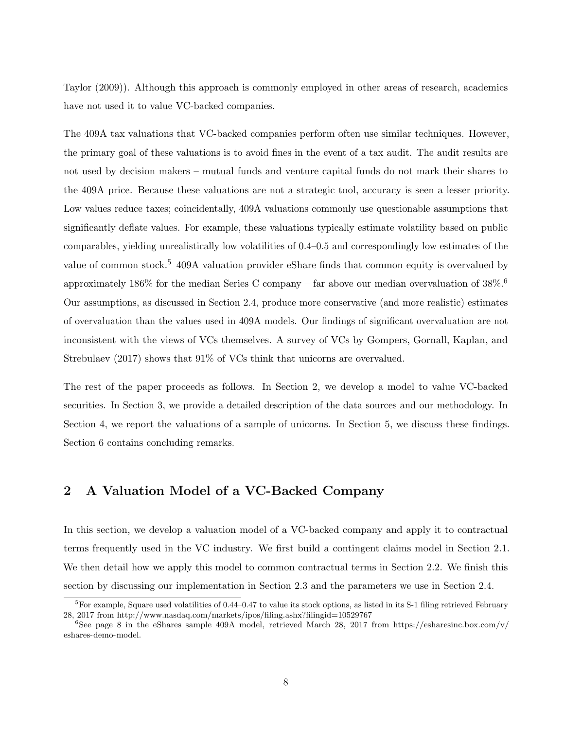Taylor (2009)). Although this approach is commonly employed in other areas of research, academics have not used it to value VC-backed companies.

The 409A tax valuations that VC-backed companies perform often use similar techniques. However, the primary goal of these valuations is to avoid fines in the event of a tax audit. The audit results are not used by decision makers – mutual funds and venture capital funds do not mark their shares to the 409A price. Because these valuations are not a strategic tool, accuracy is seen a lesser priority. Low values reduce taxes; coincidentally, 409A valuations commonly use questionable assumptions that significantly deflate values. For example, these valuations typically estimate volatility based on public comparables, yielding unrealistically low volatilities of 0.4–0.5 and correspondingly low estimates of the value of common stock.<sup>5</sup> 409A valuation provider eShare finds that common equity is overvalued by approximately 186% for the median Series C company – far above our median overvaluation of  $38\%$ . Our assumptions, as discussed in Section 2.4, produce more conservative (and more realistic) estimates of overvaluation than the values used in 409A models. Our findings of significant overvaluation are not inconsistent with the views of VCs themselves. A survey of VCs by Gompers, Gornall, Kaplan, and Strebulaev (2017) shows that 91% of VCs think that unicorns are overvalued.

The rest of the paper proceeds as follows. In Section 2, we develop a model to value VC-backed securities. In Section 3, we provide a detailed description of the data sources and our methodology. In Section 4, we report the valuations of a sample of unicorns. In Section 5, we discuss these findings. Section 6 contains concluding remarks.

## 2 A Valuation Model of a VC-Backed Company

In this section, we develop a valuation model of a VC-backed company and apply it to contractual terms frequently used in the VC industry. We first build a contingent claims model in Section 2.1. We then detail how we apply this model to common contractual terms in Section 2.2. We finish this section by discussing our implementation in Section 2.3 and the parameters we use in Section 2.4.

 ${}^{5}$ For example, Square used volatilities of 0.44–0.47 to value its stock options, as listed in its S-1 filing retrieved February 28, 2017 from http://www.nasdaq.com/markets/ipos/filing.ashx?filingid=10529767

<sup>&</sup>lt;sup>6</sup>See page 8 in the eShares sample 409A model, retrieved March 28, 2017 from https://esharesinc.box.com/v/ eshares-demo-model.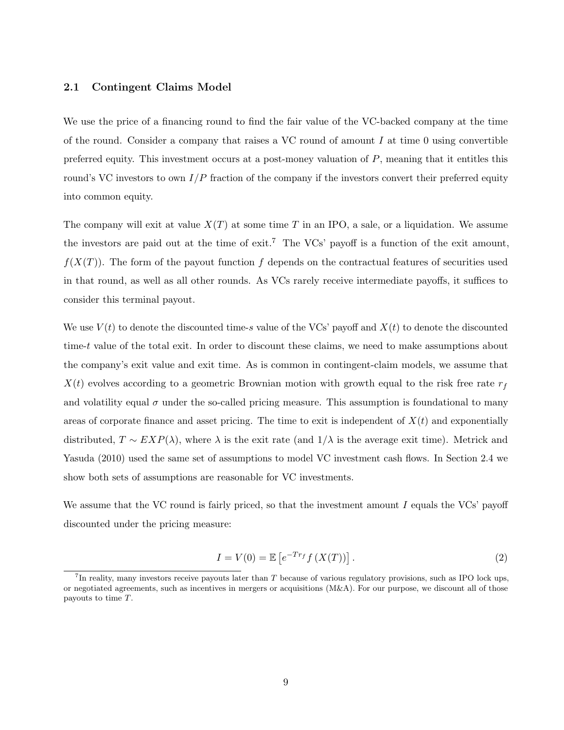### 2.1 Contingent Claims Model

We use the price of a financing round to find the fair value of the VC-backed company at the time of the round. Consider a company that raises a VC round of amount  $I$  at time 0 using convertible preferred equity. This investment occurs at a post-money valuation of P, meaning that it entitles this round's VC investors to own  $I/P$  fraction of the company if the investors convert their preferred equity into common equity.

The company will exit at value  $X(T)$  at some time T in an IPO, a sale, or a liquidation. We assume the investors are paid out at the time of  $exit^7$  The VCs' payoff is a function of the exit amount,  $f(X(T))$ . The form of the payout function f depends on the contractual features of securities used in that round, as well as all other rounds. As VCs rarely receive intermediate payoffs, it suffices to consider this terminal payout.

We use  $V(t)$  to denote the discounted time-s value of the VCs' payoff and  $X(t)$  to denote the discounted time-t value of the total exit. In order to discount these claims, we need to make assumptions about the company's exit value and exit time. As is common in contingent-claim models, we assume that  $X(t)$  evolves according to a geometric Brownian motion with growth equal to the risk free rate  $r<sub>f</sub>$ and volatility equal  $\sigma$  under the so-called pricing measure. This assumption is foundational to many areas of corporate finance and asset pricing. The time to exit is independent of  $X(t)$  and exponentially distributed,  $T \sim EXP(\lambda)$ , where  $\lambda$  is the exit rate (and  $1/\lambda$  is the average exit time). Metrick and Yasuda (2010) used the same set of assumptions to model VC investment cash flows. In Section 2.4 we show both sets of assumptions are reasonable for VC investments.

We assume that the VC round is fairly priced, so that the investment amount  $I$  equals the VCs' payoff discounted under the pricing measure:

$$
I = V(0) = \mathbb{E}\left[e^{-Tr_f} f\left(X(T)\right)\right].\tag{2}
$$

<sup>&</sup>lt;sup>7</sup>In reality, many investors receive payouts later than T because of various regulatory provisions, such as IPO lock ups, or negotiated agreements, such as incentives in mergers or acquisitions (M&A). For our purpose, we discount all of those payouts to time T.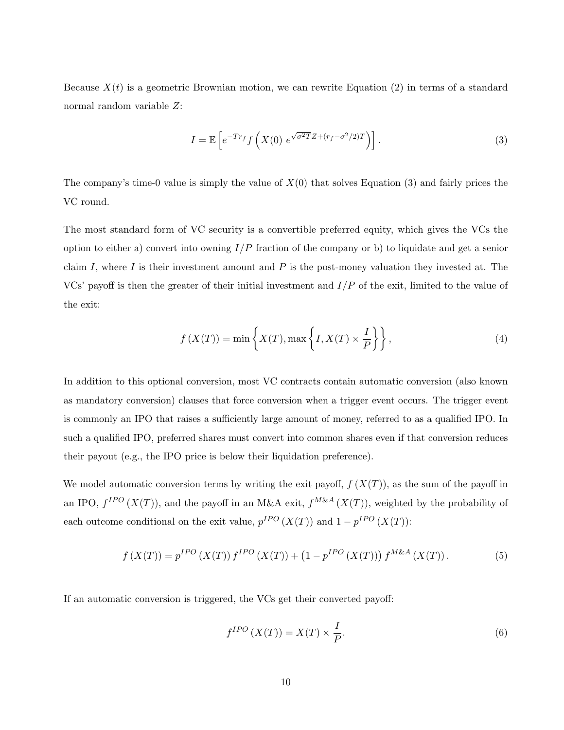Because  $X(t)$  is a geometric Brownian motion, we can rewrite Equation (2) in terms of a standard normal random variable Z:

$$
I = \mathbb{E}\left[e^{-Tr_f} \int \left(X(0) \ e^{\sqrt{\sigma^2 T} Z + (r_f - \sigma^2/2)T}\right)\right].\tag{3}
$$

The company's time-0 value is simply the value of  $X(0)$  that solves Equation (3) and fairly prices the VC round.

The most standard form of VC security is a convertible preferred equity, which gives the VCs the option to either a) convert into owning  $I/P$  fraction of the company or b) to liquidate and get a senior claim I, where I is their investment amount and P is the post-money valuation they invested at. The VCs' payoff is then the greater of their initial investment and  $I/P$  of the exit, limited to the value of the exit:

$$
f(X(T)) = \min\left\{X(T), \max\left\{I, X(T) \times \frac{I}{P}\right\}\right\},\tag{4}
$$

In addition to this optional conversion, most VC contracts contain automatic conversion (also known as mandatory conversion) clauses that force conversion when a trigger event occurs. The trigger event is commonly an IPO that raises a sufficiently large amount of money, referred to as a qualified IPO. In such a qualified IPO, preferred shares must convert into common shares even if that conversion reduces their payout (e.g., the IPO price is below their liquidation preference).

We model automatic conversion terms by writing the exit payoff,  $f(X(T))$ , as the sum of the payoff in an IPO,  $f^{IPO}(X(T))$ , and the payoff in an M&A exit,  $f^{M\&A}(X(T))$ , weighted by the probability of each outcome conditional on the exit value,  $p^{IPO}(X(T))$  and  $1-p^{IPO}(X(T))$ :

$$
f(X(T)) = p^{IPO}(X(T)) f^{IPO}(X(T)) + (1 - p^{IPO}(X(T))) f^{M&A}(X(T)).
$$
\n(5)

If an automatic conversion is triggered, the VCs get their converted payoff:

$$
f^{IPO}\left(X(T)\right) = X(T) \times \frac{I}{P}.\tag{6}
$$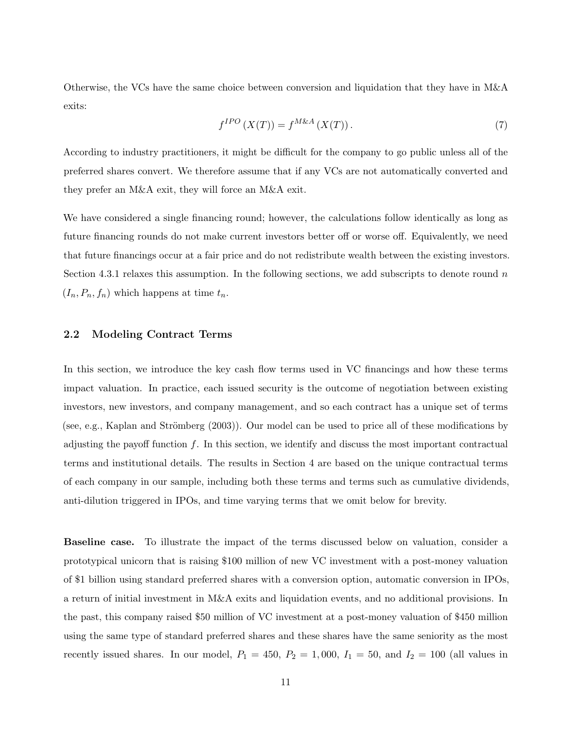Otherwise, the VCs have the same choice between conversion and liquidation that they have in M&A exits:

$$
f^{IPO}\left(X(T)\right) = f^{M\&A}\left(X(T)\right). \tag{7}
$$

According to industry practitioners, it might be difficult for the company to go public unless all of the preferred shares convert. We therefore assume that if any VCs are not automatically converted and they prefer an M&A exit, they will force an M&A exit.

We have considered a single financing round; however, the calculations follow identically as long as future financing rounds do not make current investors better off or worse off. Equivalently, we need that future financings occur at a fair price and do not redistribute wealth between the existing investors. Section 4.3.1 relaxes this assumption. In the following sections, we add subscripts to denote round  $n$  $(I_n, P_n, f_n)$  which happens at time  $t_n$ .

### 2.2 Modeling Contract Terms

In this section, we introduce the key cash flow terms used in VC financings and how these terms impact valuation. In practice, each issued security is the outcome of negotiation between existing investors, new investors, and company management, and so each contract has a unique set of terms (see, e.g., Kaplan and Strömberg  $(2003)$ ). Our model can be used to price all of these modifications by adjusting the payoff function  $f$ . In this section, we identify and discuss the most important contractual terms and institutional details. The results in Section 4 are based on the unique contractual terms of each company in our sample, including both these terms and terms such as cumulative dividends, anti-dilution triggered in IPOs, and time varying terms that we omit below for brevity.

Baseline case. To illustrate the impact of the terms discussed below on valuation, consider a prototypical unicorn that is raising \$100 million of new VC investment with a post-money valuation of \$1 billion using standard preferred shares with a conversion option, automatic conversion in IPOs, a return of initial investment in M&A exits and liquidation events, and no additional provisions. In the past, this company raised \$50 million of VC investment at a post-money valuation of \$450 million using the same type of standard preferred shares and these shares have the same seniority as the most recently issued shares. In our model,  $P_1 = 450$ ,  $P_2 = 1,000$ ,  $I_1 = 50$ , and  $I_2 = 100$  (all values in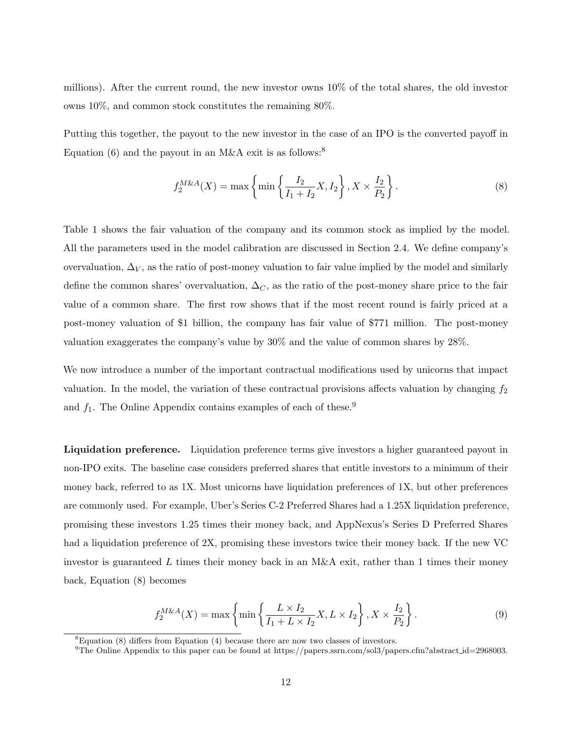millions). After the current round, the new investor owns 10% of the total shares, the old investor owns 10%, and common stock constitutes the remaining 80%.

Putting this together, the payout to the new investor in the case of an IPO is the converted payoff in Equation (6) and the payout in an M&A exit is as follows:<sup>8</sup>

$$
f_2^{M\&A}(X) = \max\left\{\min\left\{\frac{I_2}{I_1 + I_2}X, I_2\right\}, X \times \frac{I_2}{P_2}\right\}.
$$
 (8)

Table 1 shows the fair valuation of the company and its common stock as implied by the model. All the parameters used in the model calibration are discussed in Section 2.4. We define company's overvaluation,  $\Delta_V$ , as the ratio of post-money valuation to fair value implied by the model and similarly define the common shares' overvaluation,  $\Delta_C$ , as the ratio of the post-money share price to the fair value of a common share. The first row shows that if the most recent round is fairly priced at a post-money valuation of \$1 billion, the company has fair value of \$771 million. The post-money valuation exaggerates the company's value by 30% and the value of common shares by 28%.

We now introduce a number of the important contractual modifications used by unicorns that impact valuation. In the model, the variation of these contractual provisions affects valuation by changing  $f_2$ and  $f_1$ . The Online Appendix contains examples of each of these.<sup>9</sup>

Liquidation preference. Liquidation preference terms give investors a higher guaranteed payout in non-IPO exits. The baseline case considers preferred shares that entitle investors to a minimum of their money back, referred to as 1X. Most unicorns have liquidation preferences of 1X, but other preferences are commonly used. For example, Uber's Series C-2 Preferred Shares had a 1.25X liquidation preference, promising these investors 1.25 times their money back, and AppNexus's Series D Preferred Shares had a liquidation preference of 2X, promising these investors twice their money back. If the new VC investor is guaranteed L times their money back in an  $M\&\text{A exit}$ , rather than 1 times their money back, Equation (8) becomes

$$
f_2^{M\&A}(X) = \max\left\{\min\left\{\frac{L\times I_2}{I_1 + L\times I_2}X, L\times I_2\right\}, X\times\frac{I_2}{P_2}\right\}.
$$
\n(9)

 ${}^{8}$ Equation (8) differs from Equation (4) because there are now two classes of investors.

<sup>&</sup>lt;sup>9</sup>The Online Appendix to this paper can be found at https://papers.ssrn.com/sol3/papers.cfm?abstract\_id=2968003.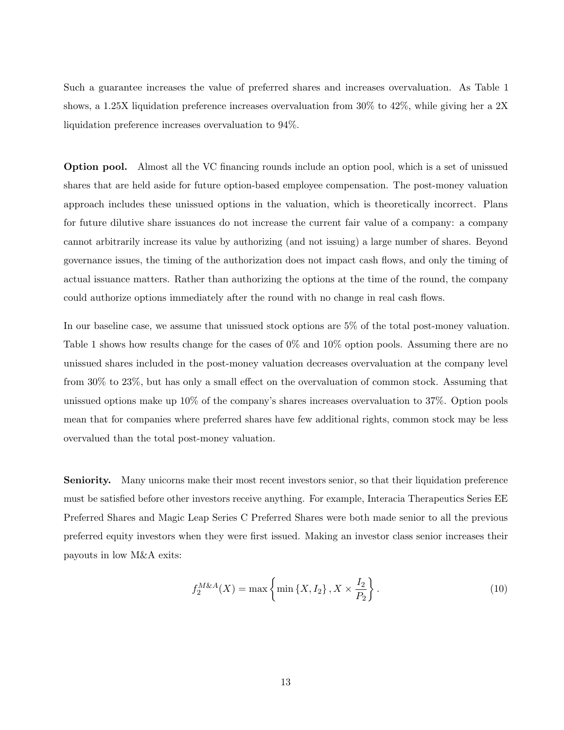Such a guarantee increases the value of preferred shares and increases overvaluation. As Table 1 shows, a 1.25X liquidation preference increases overvaluation from 30% to 42%, while giving her a 2X liquidation preference increases overvaluation to 94%.

Option pool. Almost all the VC financing rounds include an option pool, which is a set of unissued shares that are held aside for future option-based employee compensation. The post-money valuation approach includes these unissued options in the valuation, which is theoretically incorrect. Plans for future dilutive share issuances do not increase the current fair value of a company: a company cannot arbitrarily increase its value by authorizing (and not issuing) a large number of shares. Beyond governance issues, the timing of the authorization does not impact cash flows, and only the timing of actual issuance matters. Rather than authorizing the options at the time of the round, the company could authorize options immediately after the round with no change in real cash flows.

In our baseline case, we assume that unissued stock options are 5% of the total post-money valuation. Table 1 shows how results change for the cases of 0% and 10% option pools. Assuming there are no unissued shares included in the post-money valuation decreases overvaluation at the company level from 30% to 23%, but has only a small effect on the overvaluation of common stock. Assuming that unissued options make up 10% of the company's shares increases overvaluation to 37%. Option pools mean that for companies where preferred shares have few additional rights, common stock may be less overvalued than the total post-money valuation.

Seniority. Many unicorns make their most recent investors senior, so that their liquidation preference must be satisfied before other investors receive anything. For example, Interacia Therapeutics Series EE Preferred Shares and Magic Leap Series C Preferred Shares were both made senior to all the previous preferred equity investors when they were first issued. Making an investor class senior increases their payouts in low M&A exits:

$$
f_2^{M\&A}(X) = \max\left\{\min\left\{X, I_2\right\}, X \times \frac{I_2}{P_2}\right\}.
$$
 (10)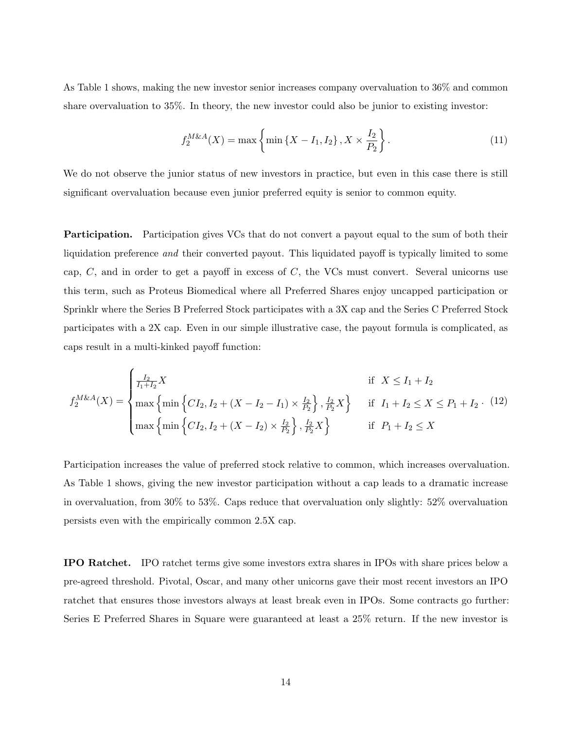As Table 1 shows, making the new investor senior increases company overvaluation to 36% and common share overvaluation to 35%. In theory, the new investor could also be junior to existing investor:

$$
f_2^{M\&A}(X) = \max\left\{\min\left\{X - I_1, I_2\right\}, X \times \frac{I_2}{P_2}\right\}.
$$
 (11)

We do not observe the junior status of new investors in practice, but even in this case there is still significant overvaluation because even junior preferred equity is senior to common equity.

**Participation.** Participation gives VCs that do not convert a payout equal to the sum of both their liquidation preference and their converted payout. This liquidated payoff is typically limited to some cap,  $C$ , and in order to get a payoff in excess of  $C$ , the VCs must convert. Several unicorns use this term, such as Proteus Biomedical where all Preferred Shares enjoy uncapped participation or Sprinklr where the Series B Preferred Stock participates with a 3X cap and the Series C Preferred Stock participates with a 2X cap. Even in our simple illustrative case, the payout formula is complicated, as caps result in a multi-kinked payoff function:

$$
f_2^{M\&A}(X) = \begin{cases} \frac{I_2}{I_1 + I_2} X & \text{if } X \le I_1 + I_2\\ \max \left\{ \min \left\{ CI_2, I_2 + (X - I_2 - I_1) \times \frac{I_2}{P_2} \right\}, \frac{I_2}{P_2} X \right\} & \text{if } I_1 + I_2 \le X \le P_1 + I_2. \end{cases}
$$
(12)  

$$
\max \left\{ \min \left\{ CI_2, I_2 + (X - I_2) \times \frac{I_2}{P_2} \right\}, \frac{I_2}{P_2} X \right\} & \text{if } P_1 + I_2 \le X
$$

Participation increases the value of preferred stock relative to common, which increases overvaluation. As Table 1 shows, giving the new investor participation without a cap leads to a dramatic increase in overvaluation, from 30% to 53%. Caps reduce that overvaluation only slightly: 52% overvaluation persists even with the empirically common 2.5X cap.

IPO Ratchet. IPO ratchet terms give some investors extra shares in IPOs with share prices below a pre-agreed threshold. Pivotal, Oscar, and many other unicorns gave their most recent investors an IPO ratchet that ensures those investors always at least break even in IPOs. Some contracts go further: Series E Preferred Shares in Square were guaranteed at least a 25% return. If the new investor is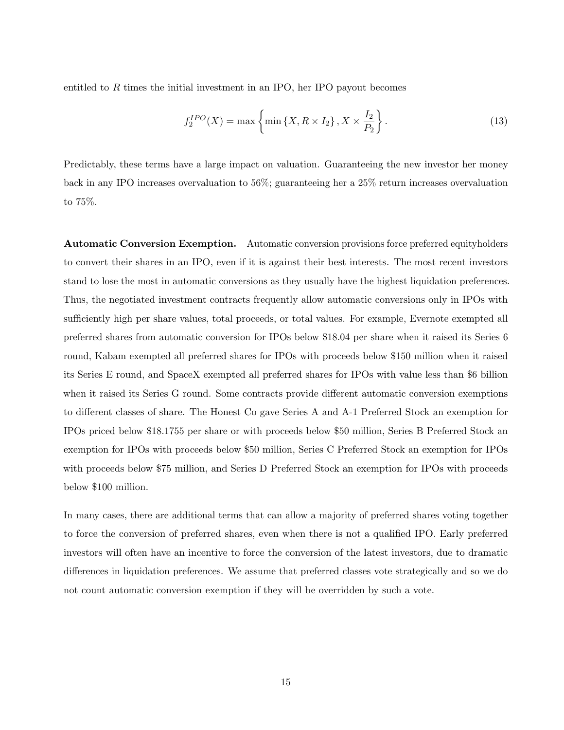entitled to  $R$  times the initial investment in an IPO, her IPO payout becomes

$$
f_2^{IPO}(X) = \max\left\{\min\left\{X, R \times I_2\right\}, X \times \frac{I_2}{P_2}\right\}.\tag{13}
$$

Predictably, these terms have a large impact on valuation. Guaranteeing the new investor her money back in any IPO increases overvaluation to 56%; guaranteeing her a 25% return increases overvaluation to 75%.

Automatic Conversion Exemption. Automatic conversion provisions force preferred equityholders to convert their shares in an IPO, even if it is against their best interests. The most recent investors stand to lose the most in automatic conversions as they usually have the highest liquidation preferences. Thus, the negotiated investment contracts frequently allow automatic conversions only in IPOs with sufficiently high per share values, total proceeds, or total values. For example, Evernote exempted all preferred shares from automatic conversion for IPOs below \$18.04 per share when it raised its Series 6 round, Kabam exempted all preferred shares for IPOs with proceeds below \$150 million when it raised its Series E round, and SpaceX exempted all preferred shares for IPOs with value less than \$6 billion when it raised its Series G round. Some contracts provide different automatic conversion exemptions to different classes of share. The Honest Co gave Series A and A-1 Preferred Stock an exemption for IPOs priced below \$18.1755 per share or with proceeds below \$50 million, Series B Preferred Stock an exemption for IPOs with proceeds below \$50 million, Series C Preferred Stock an exemption for IPOs with proceeds below \$75 million, and Series D Preferred Stock an exemption for IPOs with proceeds below \$100 million.

In many cases, there are additional terms that can allow a majority of preferred shares voting together to force the conversion of preferred shares, even when there is not a qualified IPO. Early preferred investors will often have an incentive to force the conversion of the latest investors, due to dramatic differences in liquidation preferences. We assume that preferred classes vote strategically and so we do not count automatic conversion exemption if they will be overridden by such a vote.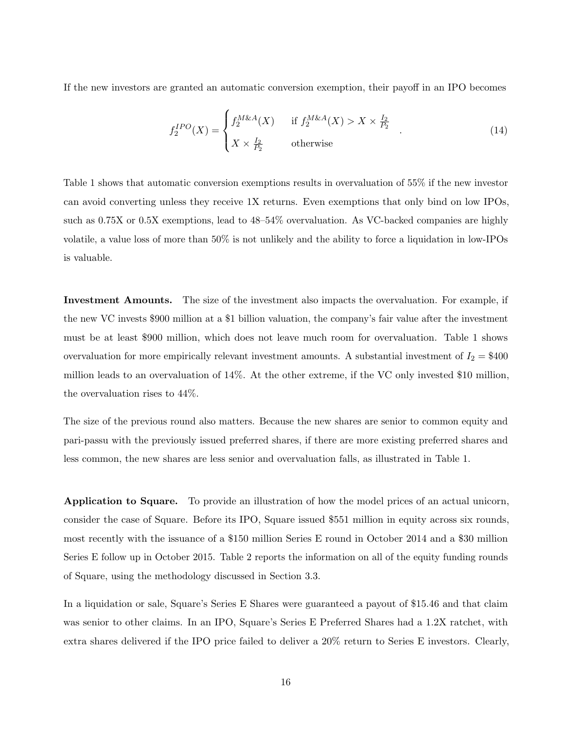If the new investors are granted an automatic conversion exemption, their payoff in an IPO becomes

$$
f_2^{IPO}(X) = \begin{cases} f_2^{M\&A}(X) & \text{if } f_2^{M\&A}(X) > X \times \frac{I_2}{P_2} \\ X \times \frac{I_2}{P_2} & \text{otherwise} \end{cases} \tag{14}
$$

Table 1 shows that automatic conversion exemptions results in overvaluation of 55% if the new investor can avoid converting unless they receive 1X returns. Even exemptions that only bind on low IPOs, such as 0.75X or 0.5X exemptions, lead to 48–54% overvaluation. As VC-backed companies are highly volatile, a value loss of more than 50% is not unlikely and the ability to force a liquidation in low-IPOs is valuable.

Investment Amounts. The size of the investment also impacts the overvaluation. For example, if the new VC invests \$900 million at a \$1 billion valuation, the company's fair value after the investment must be at least \$900 million, which does not leave much room for overvaluation. Table 1 shows overvaluation for more empirically relevant investment amounts. A substantial investment of  $I_2 = $400$ million leads to an overvaluation of 14%. At the other extreme, if the VC only invested \$10 million, the overvaluation rises to 44%.

The size of the previous round also matters. Because the new shares are senior to common equity and pari-passu with the previously issued preferred shares, if there are more existing preferred shares and less common, the new shares are less senior and overvaluation falls, as illustrated in Table 1.

Application to Square. To provide an illustration of how the model prices of an actual unicorn, consider the case of Square. Before its IPO, Square issued \$551 million in equity across six rounds, most recently with the issuance of a \$150 million Series E round in October 2014 and a \$30 million Series E follow up in October 2015. Table 2 reports the information on all of the equity funding rounds of Square, using the methodology discussed in Section 3.3.

In a liquidation or sale, Square's Series E Shares were guaranteed a payout of \$15.46 and that claim was senior to other claims. In an IPO, Square's Series E Preferred Shares had a 1.2X ratchet, with extra shares delivered if the IPO price failed to deliver a 20% return to Series E investors. Clearly,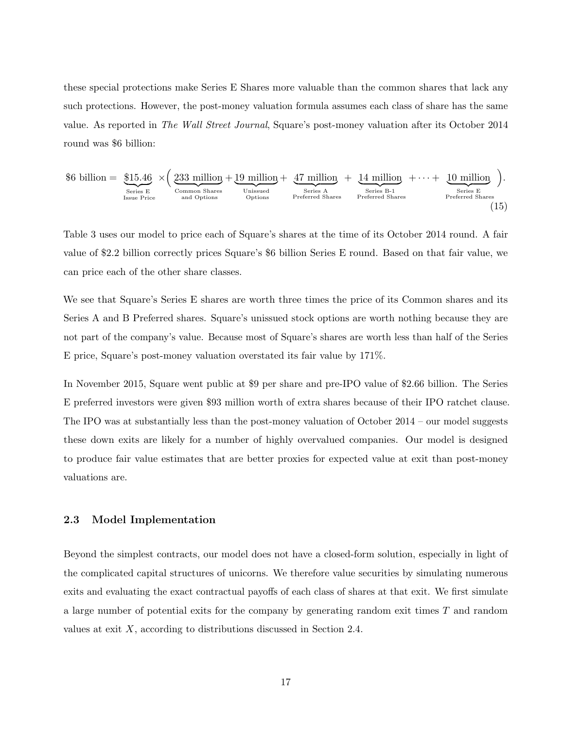these special protections make Series E Shares more valuable than the common shares that lack any such protections. However, the post-money valuation formula assumes each class of share has the same value. As reported in The Wall Street Journal, Square's post-money valuation after its October 2014 round was \$6 billion:

$$
$6 \text{ billion} = \underbrace{\$15.46}_{\text{Series E}} \times \left(\underbrace{233 \text{ million}}_{\text{Common Shares}} + \underbrace{19 \text{ million}}_{\text{Unissued}} + \underbrace{47 \text{ million}}_{\text{Series A}} + \underbrace{14 \text{ million}}_{\text{Series B-1}} + \cdots + \underbrace{10 \text{ million}}_{\text{Series E}}_{\text{Peries E}}\right).
$$
\n
$$
$\text{Series B-1}\atop{\text{Perferred Shares}}$ \text{Perfect Shares}$ \text{Perfect Shares}$ \text{Perfect Shares}$ \text{(15)}
$$

Table 3 uses our model to price each of Square's shares at the time of its October 2014 round. A fair value of \$2.2 billion correctly prices Square's \$6 billion Series E round. Based on that fair value, we can price each of the other share classes.

We see that Square's Series E shares are worth three times the price of its Common shares and its Series A and B Preferred shares. Square's unissued stock options are worth nothing because they are not part of the company's value. Because most of Square's shares are worth less than half of the Series E price, Square's post-money valuation overstated its fair value by 171%.

In November 2015, Square went public at \$9 per share and pre-IPO value of \$2.66 billion. The Series E preferred investors were given \$93 million worth of extra shares because of their IPO ratchet clause. The IPO was at substantially less than the post-money valuation of October 2014 – our model suggests these down exits are likely for a number of highly overvalued companies. Our model is designed to produce fair value estimates that are better proxies for expected value at exit than post-money valuations are.

### 2.3 Model Implementation

Beyond the simplest contracts, our model does not have a closed-form solution, especially in light of the complicated capital structures of unicorns. We therefore value securities by simulating numerous exits and evaluating the exact contractual payoffs of each class of shares at that exit. We first simulate a large number of potential exits for the company by generating random exit times T and random values at exit  $X$ , according to distributions discussed in Section 2.4.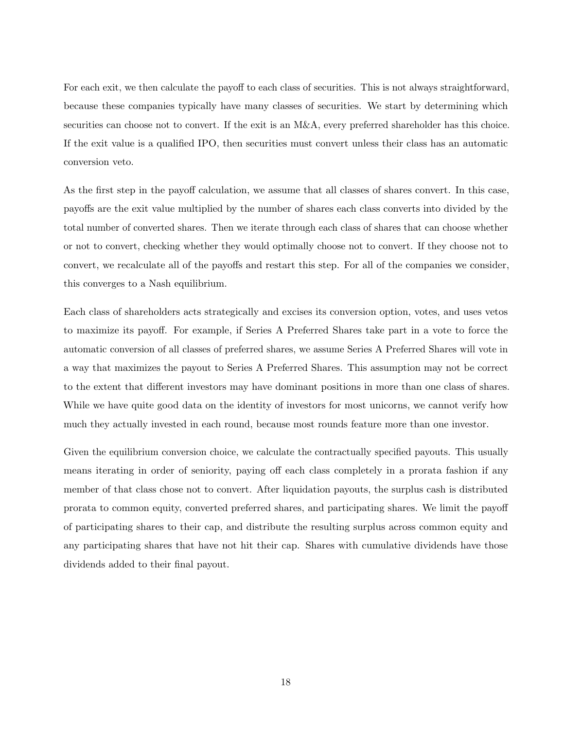For each exit, we then calculate the payoff to each class of securities. This is not always straightforward, because these companies typically have many classes of securities. We start by determining which securities can choose not to convert. If the exit is an M&A, every preferred shareholder has this choice. If the exit value is a qualified IPO, then securities must convert unless their class has an automatic conversion veto.

As the first step in the payoff calculation, we assume that all classes of shares convert. In this case, payoffs are the exit value multiplied by the number of shares each class converts into divided by the total number of converted shares. Then we iterate through each class of shares that can choose whether or not to convert, checking whether they would optimally choose not to convert. If they choose not to convert, we recalculate all of the payoffs and restart this step. For all of the companies we consider, this converges to a Nash equilibrium.

Each class of shareholders acts strategically and excises its conversion option, votes, and uses vetos to maximize its payoff. For example, if Series A Preferred Shares take part in a vote to force the automatic conversion of all classes of preferred shares, we assume Series A Preferred Shares will vote in a way that maximizes the payout to Series A Preferred Shares. This assumption may not be correct to the extent that different investors may have dominant positions in more than one class of shares. While we have quite good data on the identity of investors for most unicorns, we cannot verify how much they actually invested in each round, because most rounds feature more than one investor.

Given the equilibrium conversion choice, we calculate the contractually specified payouts. This usually means iterating in order of seniority, paying off each class completely in a prorata fashion if any member of that class chose not to convert. After liquidation payouts, the surplus cash is distributed prorata to common equity, converted preferred shares, and participating shares. We limit the payoff of participating shares to their cap, and distribute the resulting surplus across common equity and any participating shares that have not hit their cap. Shares with cumulative dividends have those dividends added to their final payout.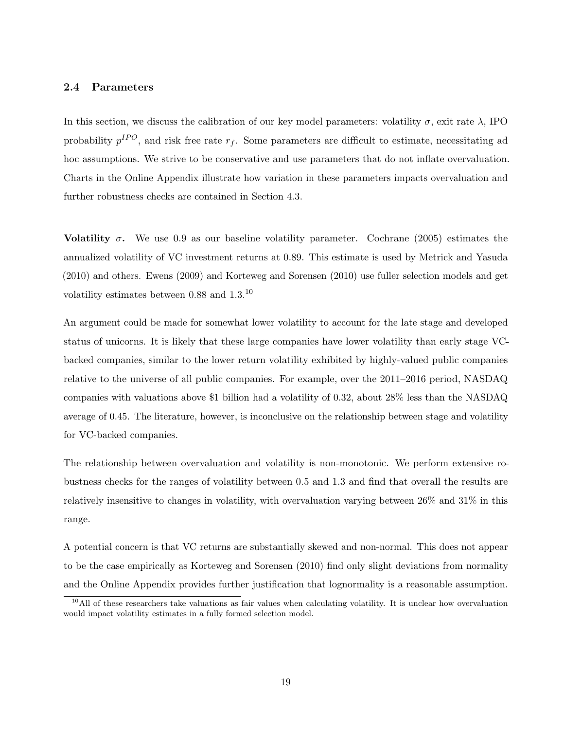### 2.4 Parameters

In this section, we discuss the calibration of our key model parameters: volatility  $\sigma$ , exit rate  $\lambda$ , IPO probability  $p^{IPO}$ , and risk free rate  $r_f$ . Some parameters are difficult to estimate, necessitating ad hoc assumptions. We strive to be conservative and use parameters that do not inflate overvaluation. Charts in the Online Appendix illustrate how variation in these parameters impacts overvaluation and further robustness checks are contained in Section 4.3.

Volatility  $\sigma$ . We use 0.9 as our baseline volatility parameter. Cochrane (2005) estimates the annualized volatility of VC investment returns at 0.89. This estimate is used by Metrick and Yasuda (2010) and others. Ewens (2009) and Korteweg and Sorensen (2010) use fuller selection models and get volatility estimates between 0.88 and 1.3.<sup>10</sup>

An argument could be made for somewhat lower volatility to account for the late stage and developed status of unicorns. It is likely that these large companies have lower volatility than early stage VCbacked companies, similar to the lower return volatility exhibited by highly-valued public companies relative to the universe of all public companies. For example, over the 2011–2016 period, NASDAQ companies with valuations above \$1 billion had a volatility of 0.32, about 28% less than the NASDAQ average of 0.45. The literature, however, is inconclusive on the relationship between stage and volatility for VC-backed companies.

The relationship between overvaluation and volatility is non-monotonic. We perform extensive robustness checks for the ranges of volatility between 0.5 and 1.3 and find that overall the results are relatively insensitive to changes in volatility, with overvaluation varying between 26% and 31% in this range.

A potential concern is that VC returns are substantially skewed and non-normal. This does not appear to be the case empirically as Korteweg and Sorensen (2010) find only slight deviations from normality and the Online Appendix provides further justification that lognormality is a reasonable assumption.

 $10$ All of these researchers take valuations as fair values when calculating volatility. It is unclear how overvaluation would impact volatility estimates in a fully formed selection model.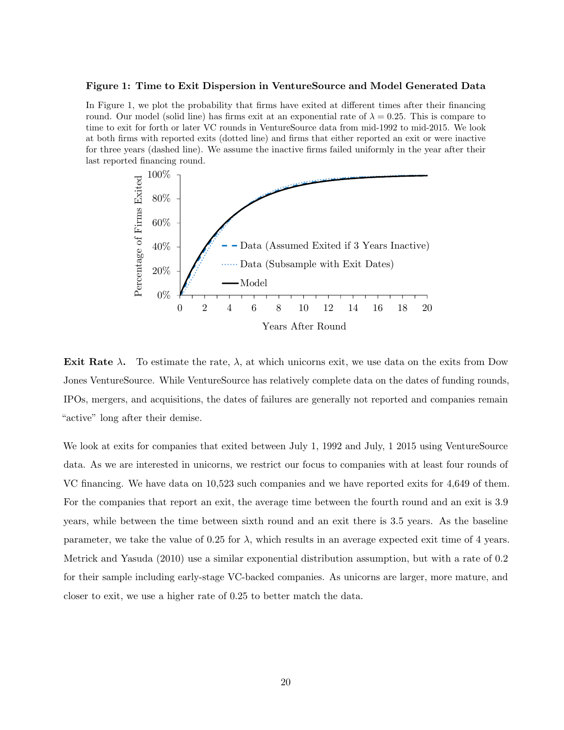### Figure 1: Time to Exit Dispersion in VentureSource and Model Generated Data

In Figure 1, we plot the probability that firms have exited at different times after their financing round. Our model (solid line) has firms exit at an exponential rate of  $\lambda = 0.25$ . This is compare to time to exit for forth or later VC rounds in VentureSource data from mid-1992 to mid-2015. We look at both firms with reported exits (dotted line) and firms that either reported an exit or were inactive for three years (dashed line). We assume the inactive firms failed uniformly in the year after their last reported financing round.



Exit Rate  $\lambda$ . To estimate the rate,  $\lambda$ , at which unicorns exit, we use data on the exits from Dow Jones VentureSource. While VentureSource has relatively complete data on the dates of funding rounds, IPOs, mergers, and acquisitions, the dates of failures are generally not reported and companies remain "active" long after their demise.

We look at exits for companies that exited between July 1, 1992 and July, 1 2015 using VentureSource data. As we are interested in unicorns, we restrict our focus to companies with at least four rounds of VC financing. We have data on 10,523 such companies and we have reported exits for 4,649 of them. For the companies that report an exit, the average time between the fourth round and an exit is 3.9 years, while between the time between sixth round and an exit there is 3.5 years. As the baseline parameter, we take the value of 0.25 for  $\lambda$ , which results in an average expected exit time of 4 years. Metrick and Yasuda (2010) use a similar exponential distribution assumption, but with a rate of 0.2 for their sample including early-stage VC-backed companies. As unicorns are larger, more mature, and closer to exit, we use a higher rate of 0.25 to better match the data.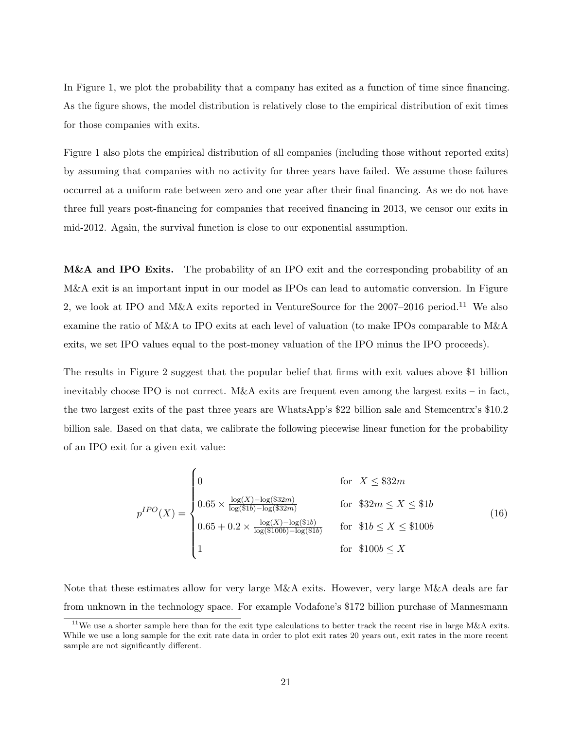In Figure 1, we plot the probability that a company has exited as a function of time since financing. As the figure shows, the model distribution is relatively close to the empirical distribution of exit times for those companies with exits.

Figure 1 also plots the empirical distribution of all companies (including those without reported exits) by assuming that companies with no activity for three years have failed. We assume those failures occurred at a uniform rate between zero and one year after their final financing. As we do not have three full years post-financing for companies that received financing in 2013, we censor our exits in mid-2012. Again, the survival function is close to our exponential assumption.

M&A and IPO Exits. The probability of an IPO exit and the corresponding probability of an M&A exit is an important input in our model as IPOs can lead to automatic conversion. In Figure 2, we look at IPO and M&A exits reported in VentureSource for the  $2007-2016$  period.<sup>11</sup> We also examine the ratio of M&A to IPO exits at each level of valuation (to make IPOs comparable to M&A exits, we set IPO values equal to the post-money valuation of the IPO minus the IPO proceeds).

The results in Figure 2 suggest that the popular belief that firms with exit values above \$1 billion inevitably choose IPO is not correct. M&A exits are frequent even among the largest exits – in fact, the two largest exits of the past three years are WhatsApp's \$22 billion sale and Stemcentrx's \$10.2 billion sale. Based on that data, we calibrate the following piecewise linear function for the probability of an IPO exit for a given exit value:

$$
p^{IPO}(X) = \begin{cases} 0 & \text{for } X \leq \$32m\\ 0.65 \times \frac{\log(X) - \log(\$32m)}{\log(\$1b) - \log(\$32m)} & \text{for } \$32m \leq X \leq \$1b\\ 0.65 + 0.2 \times \frac{\log(X) - \log(\$1b)}{\log(\$100b) - \log(\$1b)} & \text{for } \$1b \leq X \leq \$100b\\ 1 & \text{for } \$100b \leq X \end{cases}
$$
(16)

Note that these estimates allow for very large M&A exits. However, very large M&A deals are far from unknown in the technology space. For example Vodafone's \$172 billion purchase of Mannesmann

 $11$ We use a shorter sample here than for the exit type calculations to better track the recent rise in large M&A exits. While we use a long sample for the exit rate data in order to plot exit rates 20 years out, exit rates in the more recent sample are not significantly different.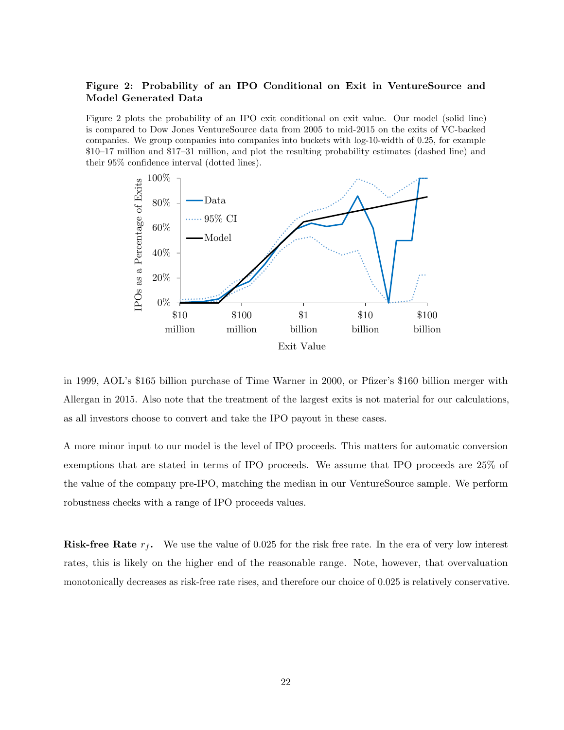## Figure 2: Probability of an IPO Conditional on Exit in VentureSource and Model Generated Data

Figure 2 plots the probability of an IPO exit conditional on exit value. Our model (solid line) is compared to Dow Jones VentureSource data from 2005 to mid-2015 on the exits of VC-backed companies. We group companies into companies into buckets with log-10-width of 0.25, for example \$10–17 million and \$17–31 million, and plot the resulting probability estimates (dashed line) and their 95% confidence interval (dotted lines).



in 1999, AOL's \$165 billion purchase of Time Warner in 2000, or Pfizer's \$160 billion merger with Allergan in 2015. Also note that the treatment of the largest exits is not material for our calculations, as all investors choose to convert and take the IPO payout in these cases.

A more minor input to our model is the level of IPO proceeds. This matters for automatic conversion exemptions that are stated in terms of IPO proceeds. We assume that IPO proceeds are 25% of the value of the company pre-IPO, matching the median in our VentureSource sample. We perform robustness checks with a range of IPO proceeds values.

**Risk-free Rate**  $r_f$ . We use the value of 0.025 for the risk free rate. In the era of very low interest rates, this is likely on the higher end of the reasonable range. Note, however, that overvaluation monotonically decreases as risk-free rate rises, and therefore our choice of 0.025 is relatively conservative.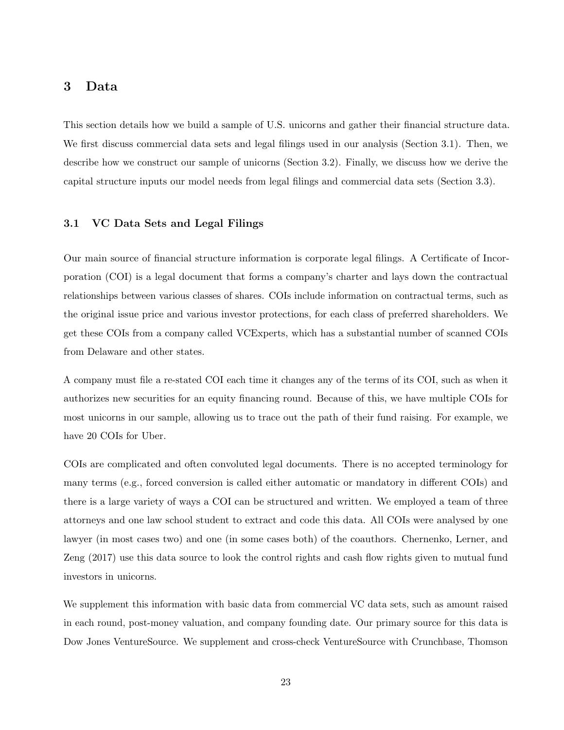## 3 Data

This section details how we build a sample of U.S. unicorns and gather their financial structure data. We first discuss commercial data sets and legal filings used in our analysis (Section 3.1). Then, we describe how we construct our sample of unicorns (Section 3.2). Finally, we discuss how we derive the capital structure inputs our model needs from legal filings and commercial data sets (Section 3.3).

### 3.1 VC Data Sets and Legal Filings

Our main source of financial structure information is corporate legal filings. A Certificate of Incorporation (COI) is a legal document that forms a company's charter and lays down the contractual relationships between various classes of shares. COIs include information on contractual terms, such as the original issue price and various investor protections, for each class of preferred shareholders. We get these COIs from a company called VCExperts, which has a substantial number of scanned COIs from Delaware and other states.

A company must file a re-stated COI each time it changes any of the terms of its COI, such as when it authorizes new securities for an equity financing round. Because of this, we have multiple COIs for most unicorns in our sample, allowing us to trace out the path of their fund raising. For example, we have 20 COIs for Uber.

COIs are complicated and often convoluted legal documents. There is no accepted terminology for many terms (e.g., forced conversion is called either automatic or mandatory in different COIs) and there is a large variety of ways a COI can be structured and written. We employed a team of three attorneys and one law school student to extract and code this data. All COIs were analysed by one lawyer (in most cases two) and one (in some cases both) of the coauthors. Chernenko, Lerner, and Zeng (2017) use this data source to look the control rights and cash flow rights given to mutual fund investors in unicorns.

We supplement this information with basic data from commercial VC data sets, such as amount raised in each round, post-money valuation, and company founding date. Our primary source for this data is Dow Jones VentureSource. We supplement and cross-check VentureSource with Crunchbase, Thomson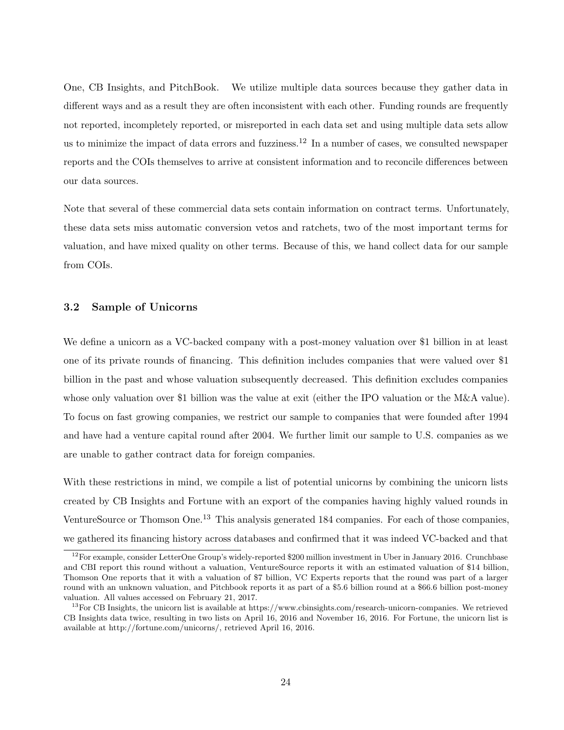One, CB Insights, and PitchBook. We utilize multiple data sources because they gather data in different ways and as a result they are often inconsistent with each other. Funding rounds are frequently not reported, incompletely reported, or misreported in each data set and using multiple data sets allow us to minimize the impact of data errors and fuzziness.<sup>12</sup> In a number of cases, we consulted newspaper reports and the COIs themselves to arrive at consistent information and to reconcile differences between our data sources.

Note that several of these commercial data sets contain information on contract terms. Unfortunately, these data sets miss automatic conversion vetos and ratchets, two of the most important terms for valuation, and have mixed quality on other terms. Because of this, we hand collect data for our sample from COIs.

### 3.2 Sample of Unicorns

We define a unicorn as a VC-backed company with a post-money valuation over \$1 billion in at least one of its private rounds of financing. This definition includes companies that were valued over \$1 billion in the past and whose valuation subsequently decreased. This definition excludes companies whose only valuation over \$1 billion was the value at exit (either the IPO valuation or the M&A value). To focus on fast growing companies, we restrict our sample to companies that were founded after 1994 and have had a venture capital round after 2004. We further limit our sample to U.S. companies as we are unable to gather contract data for foreign companies.

With these restrictions in mind, we compile a list of potential unicorns by combining the unicorn lists created by CB Insights and Fortune with an export of the companies having highly valued rounds in VentureSource or Thomson One.<sup>13</sup> This analysis generated 184 companies. For each of those companies, we gathered its financing history across databases and confirmed that it was indeed VC-backed and that

<sup>12</sup>For example, consider LetterOne Group's widely-reported \$200 million investment in Uber in January 2016. Crunchbase and CBI report this round without a valuation, VentureSource reports it with an estimated valuation of \$14 billion, Thomson One reports that it with a valuation of \$7 billion, VC Experts reports that the round was part of a larger round with an unknown valuation, and Pitchbook reports it as part of a \$5.6 billion round at a \$66.6 billion post-money valuation. All values accessed on February 21, 2017.

 $13$  For CB Insights, the unicorn list is available at https://www.cbinsights.com/research-unicorn-companies. We retrieved CB Insights data twice, resulting in two lists on April 16, 2016 and November 16, 2016. For Fortune, the unicorn list is available at http://fortune.com/unicorns/, retrieved April 16, 2016.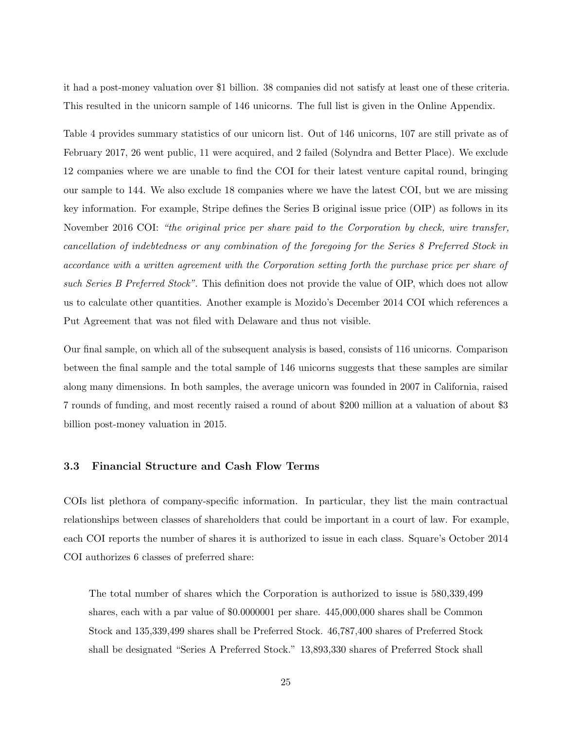it had a post-money valuation over \$1 billion. 38 companies did not satisfy at least one of these criteria. This resulted in the unicorn sample of 146 unicorns. The full list is given in the Online Appendix.

Table 4 provides summary statistics of our unicorn list. Out of 146 unicorns, 107 are still private as of February 2017, 26 went public, 11 were acquired, and 2 failed (Solyndra and Better Place). We exclude 12 companies where we are unable to find the COI for their latest venture capital round, bringing our sample to 144. We also exclude 18 companies where we have the latest COI, but we are missing key information. For example, Stripe defines the Series B original issue price (OIP) as follows in its November 2016 COI: "the original price per share paid to the Corporation by check, wire transfer, cancellation of indebtedness or any combination of the foregoing for the Series 8 Preferred Stock in accordance with a written agreement with the Corporation setting forth the purchase price per share of such Series B Preferred Stock". This definition does not provide the value of OIP, which does not allow us to calculate other quantities. Another example is Mozido's December 2014 COI which references a Put Agreement that was not filed with Delaware and thus not visible.

Our final sample, on which all of the subsequent analysis is based, consists of 116 unicorns. Comparison between the final sample and the total sample of 146 unicorns suggests that these samples are similar along many dimensions. In both samples, the average unicorn was founded in 2007 in California, raised 7 rounds of funding, and most recently raised a round of about \$200 million at a valuation of about \$3 billion post-money valuation in 2015.

### 3.3 Financial Structure and Cash Flow Terms

COIs list plethora of company-specific information. In particular, they list the main contractual relationships between classes of shareholders that could be important in a court of law. For example, each COI reports the number of shares it is authorized to issue in each class. Square's October 2014 COI authorizes 6 classes of preferred share:

The total number of shares which the Corporation is authorized to issue is 580,339,499 shares, each with a par value of \$0.0000001 per share. 445,000,000 shares shall be Common Stock and 135,339,499 shares shall be Preferred Stock. 46,787,400 shares of Preferred Stock shall be designated "Series A Preferred Stock." 13,893,330 shares of Preferred Stock shall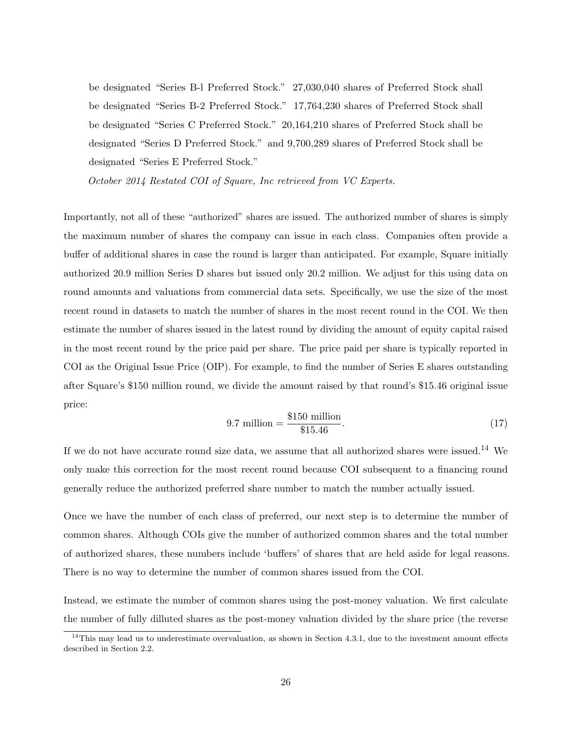be designated "Series B-l Preferred Stock." 27,030,040 shares of Preferred Stock shall be designated "Series B-2 Preferred Stock." 17,764,230 shares of Preferred Stock shall be designated "Series C Preferred Stock." 20,164,210 shares of Preferred Stock shall be designated "Series D Preferred Stock." and 9,700,289 shares of Preferred Stock shall be designated "Series E Preferred Stock."

October 2014 Restated COI of Square, Inc retrieved from VC Experts.

Importantly, not all of these "authorized" shares are issued. The authorized number of shares is simply the maximum number of shares the company can issue in each class. Companies often provide a buffer of additional shares in case the round is larger than anticipated. For example, Square initially authorized 20.9 million Series D shares but issued only 20.2 million. We adjust for this using data on round amounts and valuations from commercial data sets. Specifically, we use the size of the most recent round in datasets to match the number of shares in the most recent round in the COI. We then estimate the number of shares issued in the latest round by dividing the amount of equity capital raised in the most recent round by the price paid per share. The price paid per share is typically reported in COI as the Original Issue Price (OIP). For example, to find the number of Series E shares outstanding after Square's \$150 million round, we divide the amount raised by that round's \$15.46 original issue price:

$$
9.7 \text{ million} = \frac{\$150 \text{ million}}{\$15.46}.\tag{17}
$$

If we do not have accurate round size data, we assume that all authorized shares were issued.<sup>14</sup> We only make this correction for the most recent round because COI subsequent to a financing round generally reduce the authorized preferred share number to match the number actually issued.

Once we have the number of each class of preferred, our next step is to determine the number of common shares. Although COIs give the number of authorized common shares and the total number of authorized shares, these numbers include 'buffers' of shares that are held aside for legal reasons. There is no way to determine the number of common shares issued from the COI.

Instead, we estimate the number of common shares using the post-money valuation. We first calculate the number of fully dilluted shares as the post-money valuation divided by the share price (the reverse

 $14$ This may lead us to underestimate overvaluation, as shown in Section 4.3.1, due to the investment amount effects described in Section 2.2.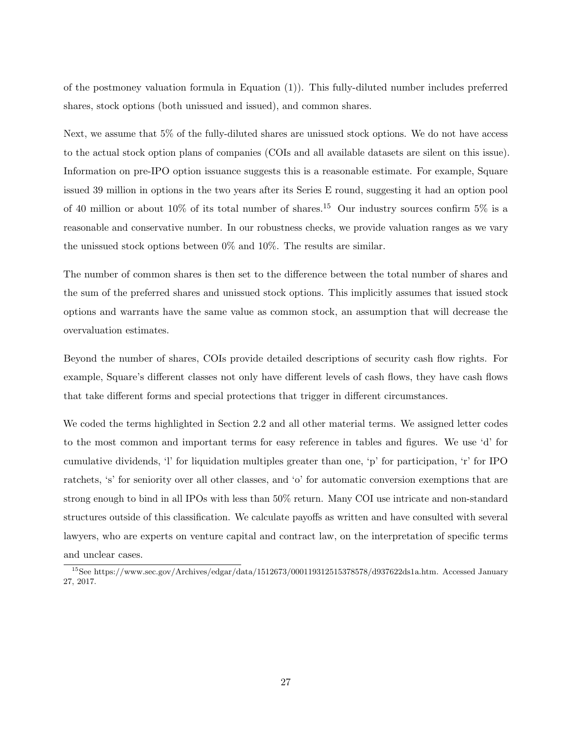of the postmoney valuation formula in Equation (1)). This fully-diluted number includes preferred shares, stock options (both unissued and issued), and common shares.

Next, we assume that 5% of the fully-diluted shares are unissued stock options. We do not have access to the actual stock option plans of companies (COIs and all available datasets are silent on this issue). Information on pre-IPO option issuance suggests this is a reasonable estimate. For example, Square issued 39 million in options in the two years after its Series E round, suggesting it had an option pool of 40 million or about 10% of its total number of shares.<sup>15</sup> Our industry sources confirm 5% is a reasonable and conservative number. In our robustness checks, we provide valuation ranges as we vary the unissued stock options between  $0\%$  and  $10\%$ . The results are similar.

The number of common shares is then set to the difference between the total number of shares and the sum of the preferred shares and unissued stock options. This implicitly assumes that issued stock options and warrants have the same value as common stock, an assumption that will decrease the overvaluation estimates.

Beyond the number of shares, COIs provide detailed descriptions of security cash flow rights. For example, Square's different classes not only have different levels of cash flows, they have cash flows that take different forms and special protections that trigger in different circumstances.

We coded the terms highlighted in Section 2.2 and all other material terms. We assigned letter codes to the most common and important terms for easy reference in tables and figures. We use 'd' for cumulative dividends, 'l' for liquidation multiples greater than one, 'p' for participation, 'r' for IPO ratchets, 's' for seniority over all other classes, and 'o' for automatic conversion exemptions that are strong enough to bind in all IPOs with less than 50% return. Many COI use intricate and non-standard structures outside of this classification. We calculate payoffs as written and have consulted with several lawyers, who are experts on venture capital and contract law, on the interpretation of specific terms and unclear cases.

<sup>15</sup>See https://www.sec.gov/Archives/edgar/data/1512673/000119312515378578/d937622ds1a.htm. Accessed January 27, 2017.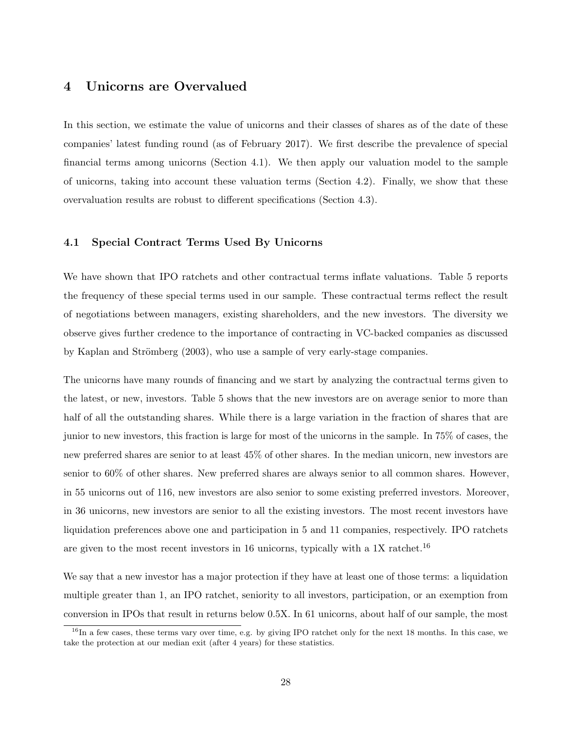## 4 Unicorns are Overvalued

In this section, we estimate the value of unicorns and their classes of shares as of the date of these companies' latest funding round (as of February 2017). We first describe the prevalence of special financial terms among unicorns (Section 4.1). We then apply our valuation model to the sample of unicorns, taking into account these valuation terms (Section 4.2). Finally, we show that these overvaluation results are robust to different specifications (Section 4.3).

### 4.1 Special Contract Terms Used By Unicorns

We have shown that IPO ratchets and other contractual terms inflate valuations. Table 5 reports the frequency of these special terms used in our sample. These contractual terms reflect the result of negotiations between managers, existing shareholders, and the new investors. The diversity we observe gives further credence to the importance of contracting in VC-backed companies as discussed by Kaplan and Strömberg (2003), who use a sample of very early-stage companies.

The unicorns have many rounds of financing and we start by analyzing the contractual terms given to the latest, or new, investors. Table 5 shows that the new investors are on average senior to more than half of all the outstanding shares. While there is a large variation in the fraction of shares that are junior to new investors, this fraction is large for most of the unicorns in the sample. In 75% of cases, the new preferred shares are senior to at least 45% of other shares. In the median unicorn, new investors are senior to 60% of other shares. New preferred shares are always senior to all common shares. However, in 55 unicorns out of 116, new investors are also senior to some existing preferred investors. Moreover, in 36 unicorns, new investors are senior to all the existing investors. The most recent investors have liquidation preferences above one and participation in 5 and 11 companies, respectively. IPO ratchets are given to the most recent investors in 16 unicorns, typically with a 1X ratchet.<sup>16</sup>

We say that a new investor has a major protection if they have at least one of those terms: a liquidation multiple greater than 1, an IPO ratchet, seniority to all investors, participation, or an exemption from conversion in IPOs that result in returns below 0.5X. In 61 unicorns, about half of our sample, the most

 $16$ In a few cases, these terms vary over time, e.g. by giving IPO ratchet only for the next 18 months. In this case, we take the protection at our median exit (after 4 years) for these statistics.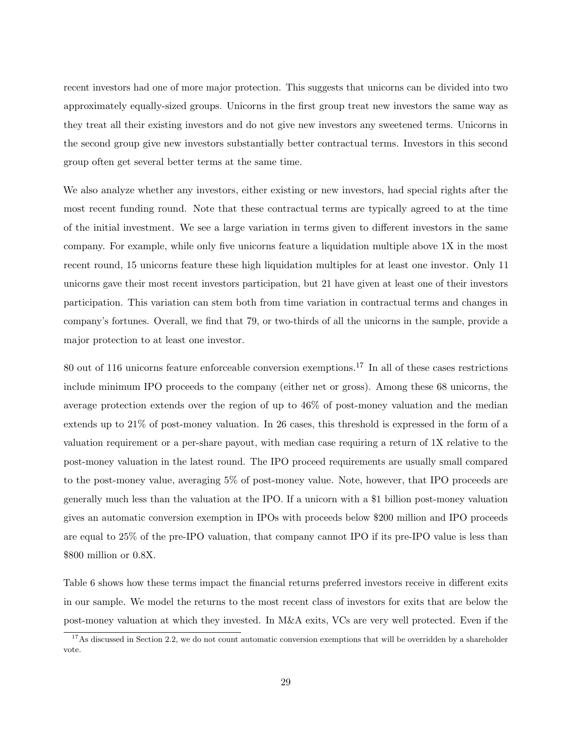recent investors had one of more major protection. This suggests that unicorns can be divided into two approximately equally-sized groups. Unicorns in the first group treat new investors the same way as they treat all their existing investors and do not give new investors any sweetened terms. Unicorns in the second group give new investors substantially better contractual terms. Investors in this second group often get several better terms at the same time.

We also analyze whether any investors, either existing or new investors, had special rights after the most recent funding round. Note that these contractual terms are typically agreed to at the time of the initial investment. We see a large variation in terms given to different investors in the same company. For example, while only five unicorns feature a liquidation multiple above 1X in the most recent round, 15 unicorns feature these high liquidation multiples for at least one investor. Only 11 unicorns gave their most recent investors participation, but 21 have given at least one of their investors participation. This variation can stem both from time variation in contractual terms and changes in company's fortunes. Overall, we find that 79, or two-thirds of all the unicorns in the sample, provide a major protection to at least one investor.

80 out of 116 unicorns feature enforceable conversion exemptions.<sup>17</sup> In all of these cases restrictions include minimum IPO proceeds to the company (either net or gross). Among these 68 unicorns, the average protection extends over the region of up to 46% of post-money valuation and the median extends up to 21% of post-money valuation. In 26 cases, this threshold is expressed in the form of a valuation requirement or a per-share payout, with median case requiring a return of 1X relative to the post-money valuation in the latest round. The IPO proceed requirements are usually small compared to the post-money value, averaging 5% of post-money value. Note, however, that IPO proceeds are generally much less than the valuation at the IPO. If a unicorn with a \$1 billion post-money valuation gives an automatic conversion exemption in IPOs with proceeds below \$200 million and IPO proceeds are equal to 25% of the pre-IPO valuation, that company cannot IPO if its pre-IPO value is less than \$800 million or 0.8X.

Table 6 shows how these terms impact the financial returns preferred investors receive in different exits in our sample. We model the returns to the most recent class of investors for exits that are below the post-money valuation at which they invested. In M&A exits, VCs are very well protected. Even if the

 $17$ As discussed in Section 2.2, we do not count automatic conversion exemptions that will be overridden by a shareholder vote.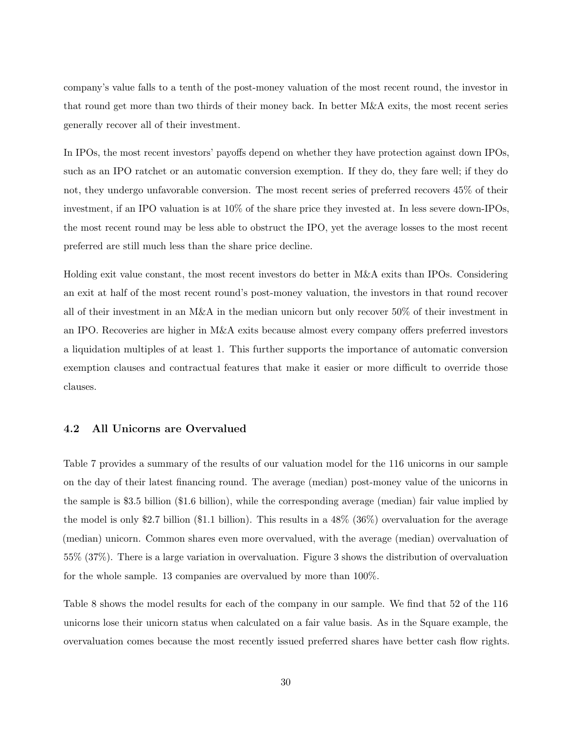company's value falls to a tenth of the post-money valuation of the most recent round, the investor in that round get more than two thirds of their money back. In better M&A exits, the most recent series generally recover all of their investment.

In IPOs, the most recent investors' payoffs depend on whether they have protection against down IPOs, such as an IPO ratchet or an automatic conversion exemption. If they do, they fare well; if they do not, they undergo unfavorable conversion. The most recent series of preferred recovers 45% of their investment, if an IPO valuation is at 10% of the share price they invested at. In less severe down-IPOs, the most recent round may be less able to obstruct the IPO, yet the average losses to the most recent preferred are still much less than the share price decline.

Holding exit value constant, the most recent investors do better in M&A exits than IPOs. Considering an exit at half of the most recent round's post-money valuation, the investors in that round recover all of their investment in an M&A in the median unicorn but only recover 50% of their investment in an IPO. Recoveries are higher in M&A exits because almost every company offers preferred investors a liquidation multiples of at least 1. This further supports the importance of automatic conversion exemption clauses and contractual features that make it easier or more difficult to override those clauses.

### 4.2 All Unicorns are Overvalued

Table 7 provides a summary of the results of our valuation model for the 116 unicorns in our sample on the day of their latest financing round. The average (median) post-money value of the unicorns in the sample is \$3.5 billion (\$1.6 billion), while the corresponding average (median) fair value implied by the model is only \$2.7 billion (\$1.1 billion). This results in a  $48\%$  ( $36\%$ ) overvaluation for the average (median) unicorn. Common shares even more overvalued, with the average (median) overvaluation of 55% (37%). There is a large variation in overvaluation. Figure 3 shows the distribution of overvaluation for the whole sample. 13 companies are overvalued by more than 100%.

Table 8 shows the model results for each of the company in our sample. We find that 52 of the 116 unicorns lose their unicorn status when calculated on a fair value basis. As in the Square example, the overvaluation comes because the most recently issued preferred shares have better cash flow rights.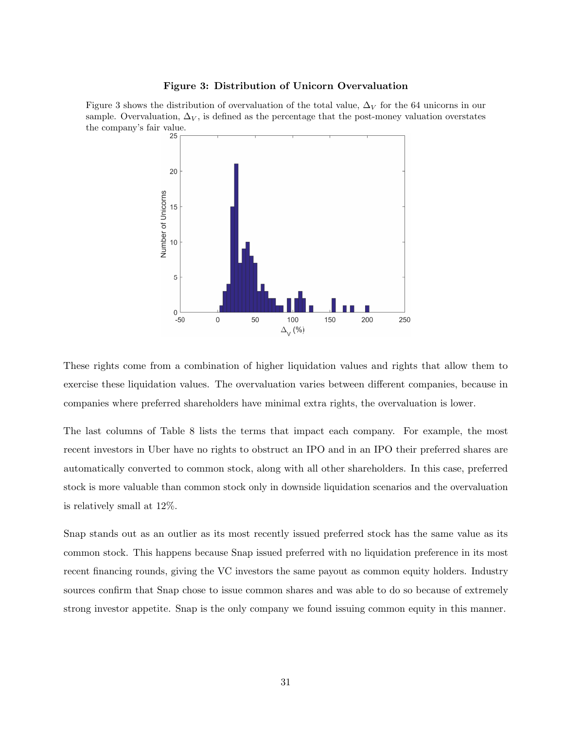#### Figure 3: Distribution of Unicorn Overvaluation

Figure 3 shows the distribution of overvaluation of the total value,  $\Delta_V$  for the 64 unicorns in our sample. Overvaluation,  $\Delta_V$ , is defined as the percentage that the post-money valuation overstates the company's fair value.<br> $25 -$ 



These rights come from a combination of higher liquidation values and rights that allow them to exercise these liquidation values. The overvaluation varies between different companies, because in companies where preferred shareholders have minimal extra rights, the overvaluation is lower.

The last columns of Table 8 lists the terms that impact each company. For example, the most recent investors in Uber have no rights to obstruct an IPO and in an IPO their preferred shares are automatically converted to common stock, along with all other shareholders. In this case, preferred stock is more valuable than common stock only in downside liquidation scenarios and the overvaluation is relatively small at 12%.

Snap stands out as an outlier as its most recently issued preferred stock has the same value as its common stock. This happens because Snap issued preferred with no liquidation preference in its most recent financing rounds, giving the VC investors the same payout as common equity holders. Industry sources confirm that Snap chose to issue common shares and was able to do so because of extremely strong investor appetite. Snap is the only company we found issuing common equity in this manner.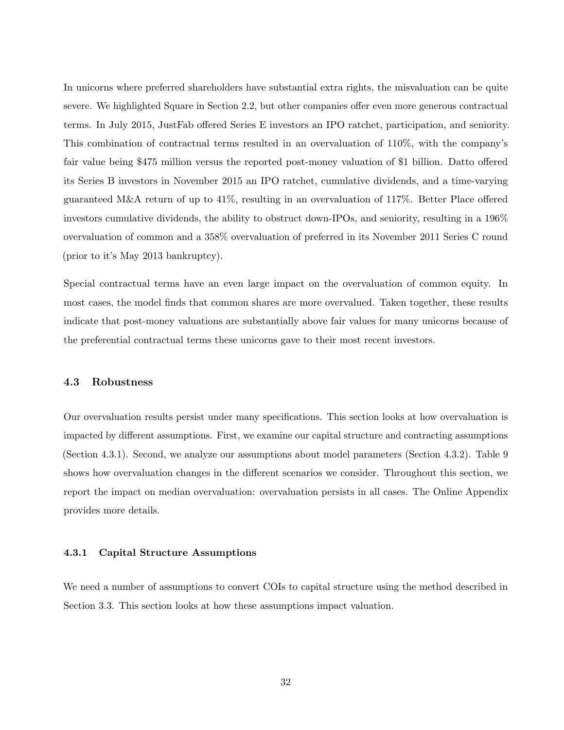In unicorns where preferred shareholders have substantial extra rights, the misvaluation can be quite severe. We highlighted Square in Section 2.2, but other companies offer even more generous contractual terms. In July 2015, JustFab offered Series E investors an IPO ratchet, participation, and seniority. This combination of contractual terms resulted in an overvaluation of 110%, with the company's fair value being \$475 million versus the reported post-money valuation of \$1 billion. Datto offered its Series B investors in November 2015 an IPO ratchet, cumulative dividends, and a time-varying guaranteed M&A return of up to 41%, resulting in an overvaluation of 117%. Better Place offered investors cumulative dividends, the ability to obstruct down-IPOs, and seniority, resulting in a 196% overvaluation of common and a 358% overvaluation of preferred in its November 2011 Series C round (prior to it's May 2013 bankruptcy).

Special contractual terms have an even large impact on the overvaluation of common equity. In most cases, the model finds that common shares are more overvalued. Taken together, these results indicate that post-money valuations are substantially above fair values for many unicorns because of the preferential contractual terms these unicorns gave to their most recent investors.

### 4.3 Robustness

Our overvaluation results persist under many specifications. This section looks at how overvaluation is impacted by different assumptions. First, we examine our capital structure and contracting assumptions (Section 4.3.1). Second, we analyze our assumptions about model parameters (Section 4.3.2). Table 9 shows how overvaluation changes in the different scenarios we consider. Throughout this section, we report the impact on median overvaluation: overvaluation persists in all cases. The Online Appendix provides more details.

### 4.3.1 Capital Structure Assumptions

We need a number of assumptions to convert COIs to capital structure using the method described in Section 3.3. This section looks at how these assumptions impact valuation.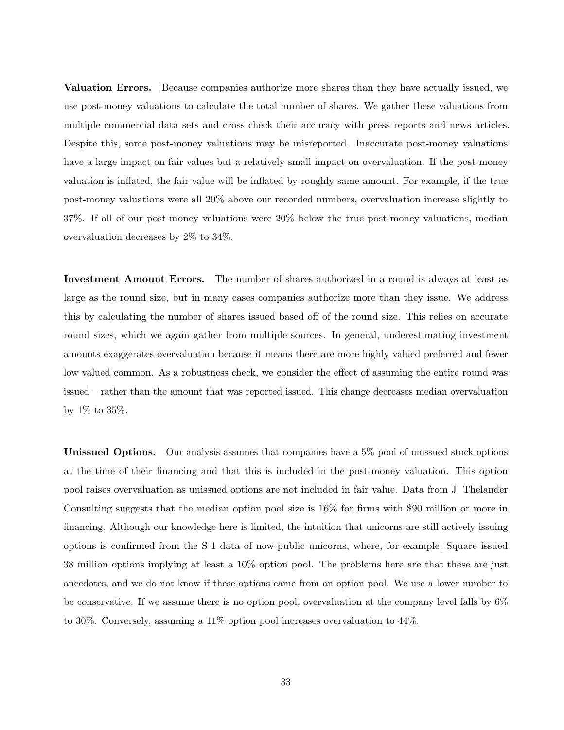Valuation Errors. Because companies authorize more shares than they have actually issued, we use post-money valuations to calculate the total number of shares. We gather these valuations from multiple commercial data sets and cross check their accuracy with press reports and news articles. Despite this, some post-money valuations may be misreported. Inaccurate post-money valuations have a large impact on fair values but a relatively small impact on overvaluation. If the post-money valuation is inflated, the fair value will be inflated by roughly same amount. For example, if the true post-money valuations were all 20% above our recorded numbers, overvaluation increase slightly to 37%. If all of our post-money valuations were 20% below the true post-money valuations, median overvaluation decreases by 2% to 34%.

Investment Amount Errors. The number of shares authorized in a round is always at least as large as the round size, but in many cases companies authorize more than they issue. We address this by calculating the number of shares issued based off of the round size. This relies on accurate round sizes, which we again gather from multiple sources. In general, underestimating investment amounts exaggerates overvaluation because it means there are more highly valued preferred and fewer low valued common. As a robustness check, we consider the effect of assuming the entire round was issued – rather than the amount that was reported issued. This change decreases median overvaluation by 1% to 35%.

Unissued Options. Our analysis assumes that companies have a 5% pool of unissued stock options at the time of their financing and that this is included in the post-money valuation. This option pool raises overvaluation as unissued options are not included in fair value. Data from J. Thelander Consulting suggests that the median option pool size is 16% for firms with \$90 million or more in financing. Although our knowledge here is limited, the intuition that unicorns are still actively issuing options is confirmed from the S-1 data of now-public unicorns, where, for example, Square issued 38 million options implying at least a 10% option pool. The problems here are that these are just anecdotes, and we do not know if these options came from an option pool. We use a lower number to be conservative. If we assume there is no option pool, overvaluation at the company level falls by 6% to 30%. Conversely, assuming a 11% option pool increases overvaluation to 44%.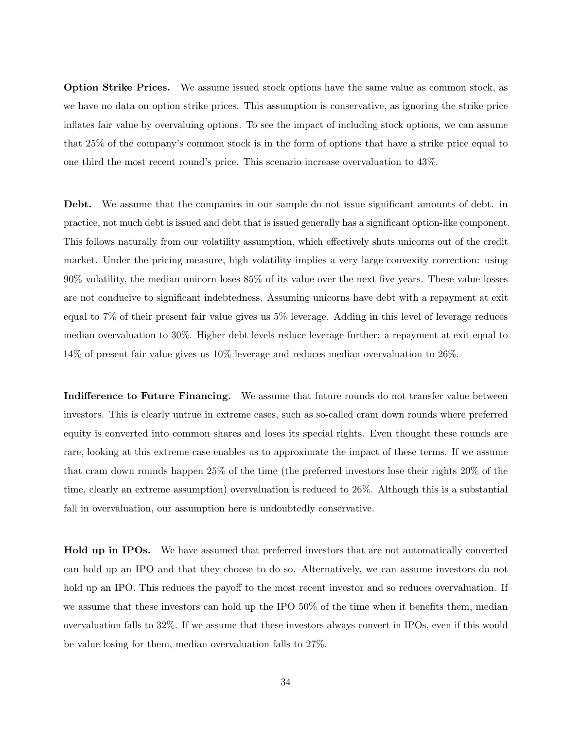Option Strike Prices. We assume issued stock options have the same value as common stock, as we have no data on option strike prices. This assumption is conservative, as ignoring the strike price inflates fair value by overvaluing options. To see the impact of including stock options, we can assume that 25% of the company's common stock is in the form of options that have a strike price equal to one third the most recent round's price. This scenario increase overvaluation to 43%.

Debt. We assume that the companies in our sample do not issue significant amounts of debt. in practice, not much debt is issued and debt that is issued generally has a significant option-like component. This follows naturally from our volatility assumption, which effectively shuts unicorns out of the credit market. Under the pricing measure, high volatility implies a very large convexity correction: using 90% volatility, the median unicorn loses 85% of its value over the next five years. These value losses are not conducive to significant indebtedness. Assuming unicorns have debt with a repayment at exit equal to 7% of their present fair value gives us 5% leverage. Adding in this level of leverage reduces median overvaluation to 30%. Higher debt levels reduce leverage further: a repayment at exit equal to 14% of present fair value gives us 10% leverage and reduces median overvaluation to 26%.

Indifference to Future Financing. We assume that future rounds do not transfer value between investors. This is clearly untrue in extreme cases, such as so-called cram down rounds where preferred equity is converted into common shares and loses its special rights. Even thought these rounds are rare, looking at this extreme case enables us to approximate the impact of these terms. If we assume that cram down rounds happen 25% of the time (the preferred investors lose their rights 20% of the time, clearly an extreme assumption) overvaluation is reduced to 26%. Although this is a substantial fall in overvaluation, our assumption here is undoubtedly conservative.

**Hold up in IPOs.** We have assumed that preferred investors that are not automatically converted can hold up an IPO and that they choose to do so. Alternatively, we can assume investors do not hold up an IPO. This reduces the payoff to the most recent investor and so reduces overvaluation. If we assume that these investors can hold up the IPO 50% of the time when it benefits them, median overvaluation falls to 32%. If we assume that these investors always convert in IPOs, even if this would be value losing for them, median overvaluation falls to 27%.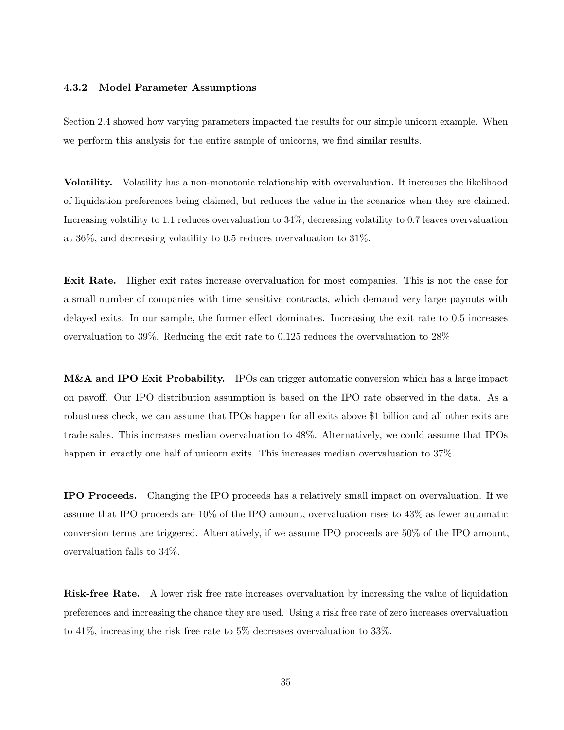#### 4.3.2 Model Parameter Assumptions

Section 2.4 showed how varying parameters impacted the results for our simple unicorn example. When we perform this analysis for the entire sample of unicorns, we find similar results.

Volatility. Volatility has a non-monotonic relationship with overvaluation. It increases the likelihood of liquidation preferences being claimed, but reduces the value in the scenarios when they are claimed. Increasing volatility to 1.1 reduces overvaluation to 34%, decreasing volatility to 0.7 leaves overvaluation at 36%, and decreasing volatility to 0.5 reduces overvaluation to 31%.

Exit Rate. Higher exit rates increase overvaluation for most companies. This is not the case for a small number of companies with time sensitive contracts, which demand very large payouts with delayed exits. In our sample, the former effect dominates. Increasing the exit rate to 0.5 increases overvaluation to 39%. Reducing the exit rate to 0.125 reduces the overvaluation to 28%

M&A and IPO Exit Probability. IPOs can trigger automatic conversion which has a large impact on payoff. Our IPO distribution assumption is based on the IPO rate observed in the data. As a robustness check, we can assume that IPOs happen for all exits above \$1 billion and all other exits are trade sales. This increases median overvaluation to 48%. Alternatively, we could assume that IPOs happen in exactly one half of unicorn exits. This increases median overvaluation to 37%.

IPO Proceeds. Changing the IPO proceeds has a relatively small impact on overvaluation. If we assume that IPO proceeds are 10% of the IPO amount, overvaluation rises to 43% as fewer automatic conversion terms are triggered. Alternatively, if we assume IPO proceeds are 50% of the IPO amount, overvaluation falls to 34%.

Risk-free Rate. A lower risk free rate increases overvaluation by increasing the value of liquidation preferences and increasing the chance they are used. Using a risk free rate of zero increases overvaluation to 41%, increasing the risk free rate to 5% decreases overvaluation to 33%.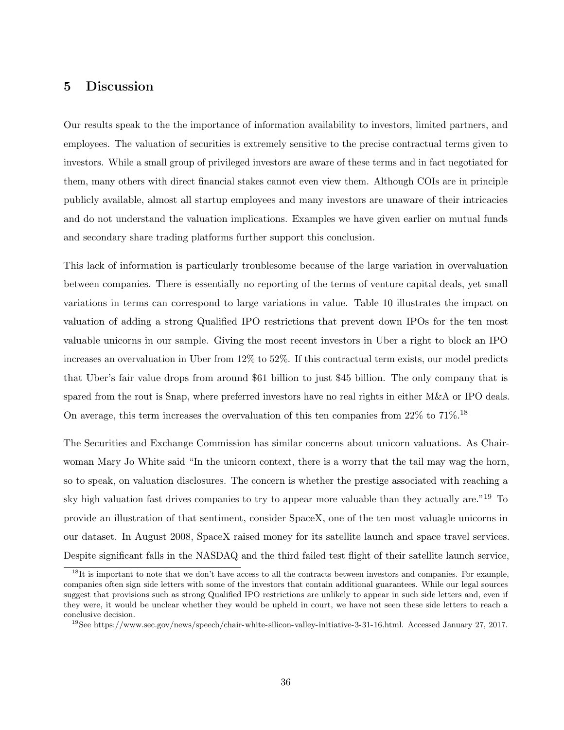## 5 Discussion

Our results speak to the the importance of information availability to investors, limited partners, and employees. The valuation of securities is extremely sensitive to the precise contractual terms given to investors. While a small group of privileged investors are aware of these terms and in fact negotiated for them, many others with direct financial stakes cannot even view them. Although COIs are in principle publicly available, almost all startup employees and many investors are unaware of their intricacies and do not understand the valuation implications. Examples we have given earlier on mutual funds and secondary share trading platforms further support this conclusion.

This lack of information is particularly troublesome because of the large variation in overvaluation between companies. There is essentially no reporting of the terms of venture capital deals, yet small variations in terms can correspond to large variations in value. Table 10 illustrates the impact on valuation of adding a strong Qualified IPO restrictions that prevent down IPOs for the ten most valuable unicorns in our sample. Giving the most recent investors in Uber a right to block an IPO increases an overvaluation in Uber from 12% to 52%. If this contractual term exists, our model predicts that Uber's fair value drops from around \$61 billion to just \$45 billion. The only company that is spared from the rout is Snap, where preferred investors have no real rights in either M&A or IPO deals. On average, this term increases the overvaluation of this ten companies from  $22\%$  to  $71\%$ .<sup>18</sup>

The Securities and Exchange Commission has similar concerns about unicorn valuations. As Chairwoman Mary Jo White said "In the unicorn context, there is a worry that the tail may wag the horn, so to speak, on valuation disclosures. The concern is whether the prestige associated with reaching a sky high valuation fast drives companies to try to appear more valuable than they actually are."<sup>19</sup> To provide an illustration of that sentiment, consider SpaceX, one of the ten most valuagle unicorns in our dataset. In August 2008, SpaceX raised money for its satellite launch and space travel services. Despite significant falls in the NASDAQ and the third failed test flight of their satellite launch service,

 $18$ It is important to note that we don't have access to all the contracts between investors and companies. For example, companies often sign side letters with some of the investors that contain additional guarantees. While our legal sources suggest that provisions such as strong Qualified IPO restrictions are unlikely to appear in such side letters and, even if they were, it would be unclear whether they would be upheld in court, we have not seen these side letters to reach a conclusive decision.

<sup>19</sup>See https://www.sec.gov/news/speech/chair-white-silicon-valley-initiative-3-31-16.html. Accessed January 27, 2017.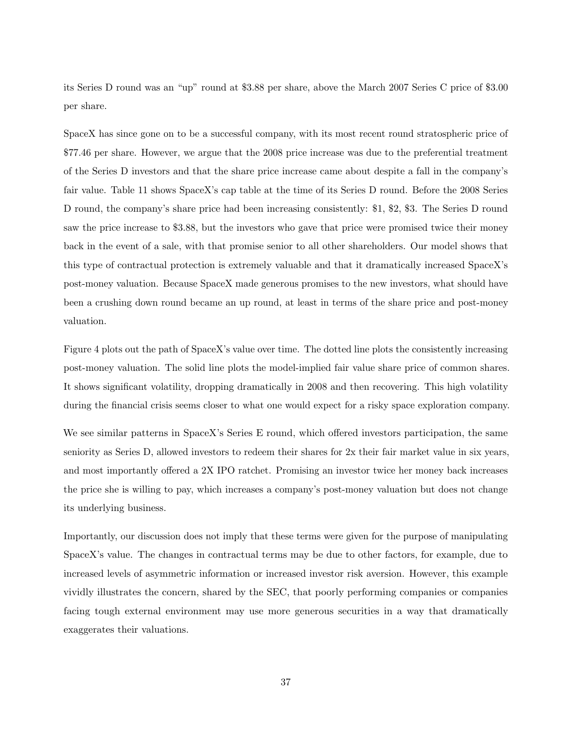its Series D round was an "up" round at \$3.88 per share, above the March 2007 Series C price of \$3.00 per share.

SpaceX has since gone on to be a successful company, with its most recent round stratospheric price of \$77.46 per share. However, we argue that the 2008 price increase was due to the preferential treatment of the Series D investors and that the share price increase came about despite a fall in the company's fair value. Table 11 shows SpaceX's cap table at the time of its Series D round. Before the 2008 Series D round, the company's share price had been increasing consistently: \$1, \$2, \$3. The Series D round saw the price increase to \$3.88, but the investors who gave that price were promised twice their money back in the event of a sale, with that promise senior to all other shareholders. Our model shows that this type of contractual protection is extremely valuable and that it dramatically increased SpaceX's post-money valuation. Because SpaceX made generous promises to the new investors, what should have been a crushing down round became an up round, at least in terms of the share price and post-money valuation.

Figure 4 plots out the path of SpaceX's value over time. The dotted line plots the consistently increasing post-money valuation. The solid line plots the model-implied fair value share price of common shares. It shows significant volatility, dropping dramatically in 2008 and then recovering. This high volatility during the financial crisis seems closer to what one would expect for a risky space exploration company.

We see similar patterns in SpaceX's Series E round, which offered investors participation, the same seniority as Series D, allowed investors to redeem their shares for 2x their fair market value in six years, and most importantly offered a 2X IPO ratchet. Promising an investor twice her money back increases the price she is willing to pay, which increases a company's post-money valuation but does not change its underlying business.

Importantly, our discussion does not imply that these terms were given for the purpose of manipulating SpaceX's value. The changes in contractual terms may be due to other factors, for example, due to increased levels of asymmetric information or increased investor risk aversion. However, this example vividly illustrates the concern, shared by the SEC, that poorly performing companies or companies facing tough external environment may use more generous securities in a way that dramatically exaggerates their valuations.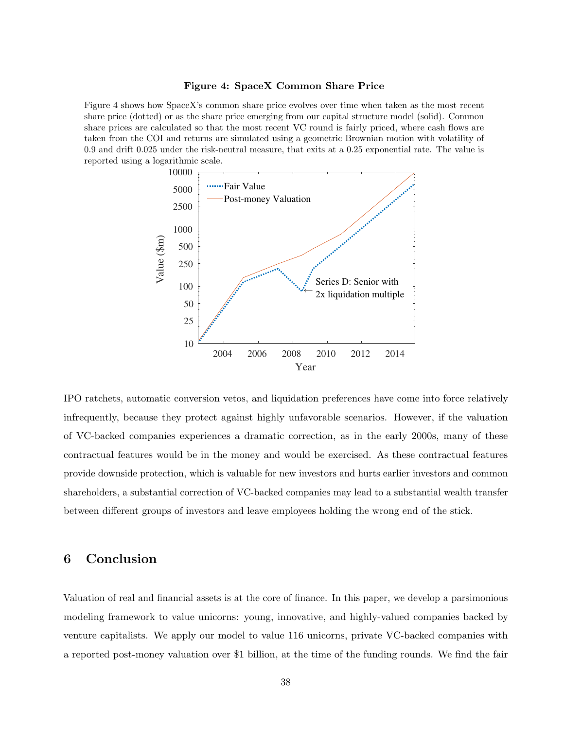#### Figure 4: SpaceX Common Share Price

Figure 4 shows how SpaceX's common share price evolves over time when taken as the most recent share price (dotted) or as the share price emerging from our capital structure model (solid). Common share prices are calculated so that the most recent VC round is fairly priced, where cash flows are taken from the COI and returns are simulated using a geometric Brownian motion with volatility of 0.9 and drift 0.025 under the risk-neutral measure, that exits at a 0.25 exponential rate. The value is reported using a logarithmic scale.



IPO ratchets, automatic conversion vetos, and liquidation preferences have come into force relatively infrequently, because they protect against highly unfavorable scenarios. However, if the valuation of VC-backed companies experiences a dramatic correction, as in the early 2000s, many of these contractual features would be in the money and would be exercised. As these contractual features provide downside protection, which is valuable for new investors and hurts earlier investors and common shareholders, a substantial correction of VC-backed companies may lead to a substantial wealth transfer between different groups of investors and leave employees holding the wrong end of the stick.

## 6 Conclusion

Valuation of real and financial assets is at the core of finance. In this paper, we develop a parsimonious modeling framework to value unicorns: young, innovative, and highly-valued companies backed by venture capitalists. We apply our model to value 116 unicorns, private VC-backed companies with a reported post-money valuation over \$1 billion, at the time of the funding rounds. We find the fair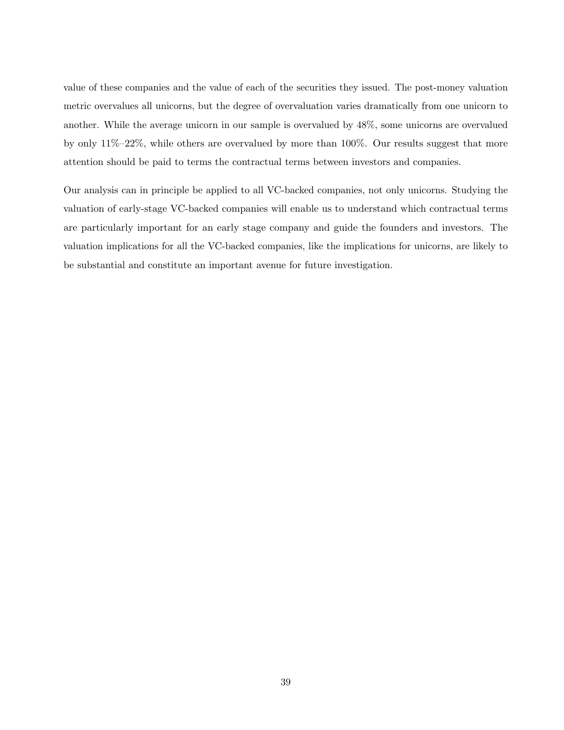value of these companies and the value of each of the securities they issued. The post-money valuation metric overvalues all unicorns, but the degree of overvaluation varies dramatically from one unicorn to another. While the average unicorn in our sample is overvalued by 48%, some unicorns are overvalued by only 11%–22%, while others are overvalued by more than 100%. Our results suggest that more attention should be paid to terms the contractual terms between investors and companies.

Our analysis can in principle be applied to all VC-backed companies, not only unicorns. Studying the valuation of early-stage VC-backed companies will enable us to understand which contractual terms are particularly important for an early stage company and guide the founders and investors. The valuation implications for all the VC-backed companies, like the implications for unicorns, are likely to be substantial and constitute an important avenue for future investigation.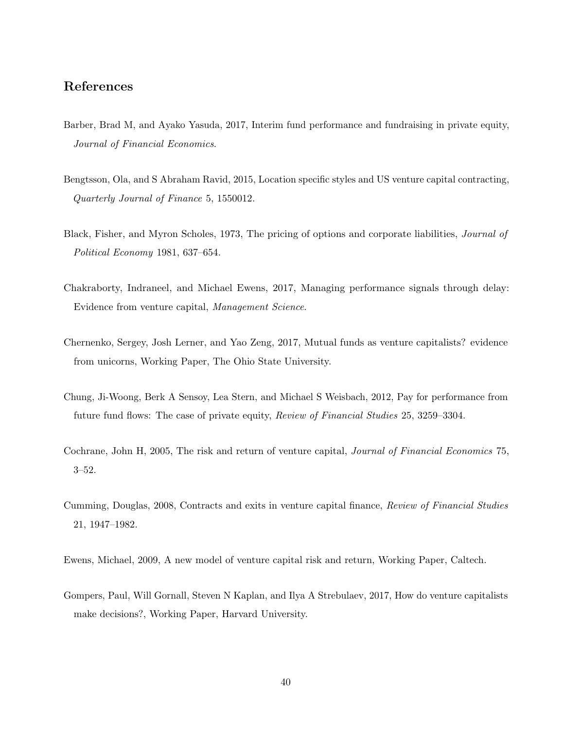## References

- Barber, Brad M, and Ayako Yasuda, 2017, Interim fund performance and fundraising in private equity, Journal of Financial Economics.
- Bengtsson, Ola, and S Abraham Ravid, 2015, Location specific styles and US venture capital contracting, Quarterly Journal of Finance 5, 1550012.
- Black, Fisher, and Myron Scholes, 1973, The pricing of options and corporate liabilities, Journal of Political Economy 1981, 637–654.
- Chakraborty, Indraneel, and Michael Ewens, 2017, Managing performance signals through delay: Evidence from venture capital, Management Science.
- Chernenko, Sergey, Josh Lerner, and Yao Zeng, 2017, Mutual funds as venture capitalists? evidence from unicorns, Working Paper, The Ohio State University.
- Chung, Ji-Woong, Berk A Sensoy, Lea Stern, and Michael S Weisbach, 2012, Pay for performance from future fund flows: The case of private equity, Review of Financial Studies 25, 3259–3304.
- Cochrane, John H, 2005, The risk and return of venture capital, Journal of Financial Economics 75, 3–52.
- Cumming, Douglas, 2008, Contracts and exits in venture capital finance, Review of Financial Studies 21, 1947–1982.
- Ewens, Michael, 2009, A new model of venture capital risk and return, Working Paper, Caltech.
- Gompers, Paul, Will Gornall, Steven N Kaplan, and Ilya A Strebulaev, 2017, How do venture capitalists make decisions?, Working Paper, Harvard University.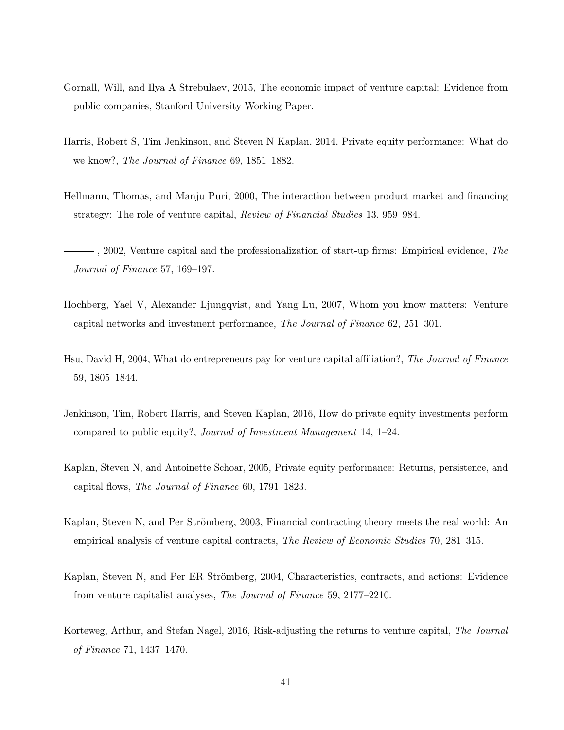- Gornall, Will, and Ilya A Strebulaev, 2015, The economic impact of venture capital: Evidence from public companies, Stanford University Working Paper.
- Harris, Robert S, Tim Jenkinson, and Steven N Kaplan, 2014, Private equity performance: What do we know?, The Journal of Finance 69, 1851–1882.
- Hellmann, Thomas, and Manju Puri, 2000, The interaction between product market and financing strategy: The role of venture capital, Review of Financial Studies 13, 959–984.
- $-$ , 2002, Venture capital and the professionalization of start-up firms: Empirical evidence, The Journal of Finance 57, 169–197.
- Hochberg, Yael V, Alexander Ljungqvist, and Yang Lu, 2007, Whom you know matters: Venture capital networks and investment performance, The Journal of Finance 62, 251–301.
- Hsu, David H, 2004, What do entrepreneurs pay for venture capital affiliation?, The Journal of Finance 59, 1805–1844.
- Jenkinson, Tim, Robert Harris, and Steven Kaplan, 2016, How do private equity investments perform compared to public equity?, Journal of Investment Management 14, 1–24.
- Kaplan, Steven N, and Antoinette Schoar, 2005, Private equity performance: Returns, persistence, and capital flows, The Journal of Finance 60, 1791–1823.
- Kaplan, Steven N, and Per Strömberg, 2003, Financial contracting theory meets the real world: An empirical analysis of venture capital contracts, The Review of Economic Studies 70, 281–315.
- Kaplan, Steven N, and Per ER Strömberg, 2004, Characteristics, contracts, and actions: Evidence from venture capitalist analyses, The Journal of Finance 59, 2177–2210.
- Korteweg, Arthur, and Stefan Nagel, 2016, Risk-adjusting the returns to venture capital, The Journal of Finance 71, 1437–1470.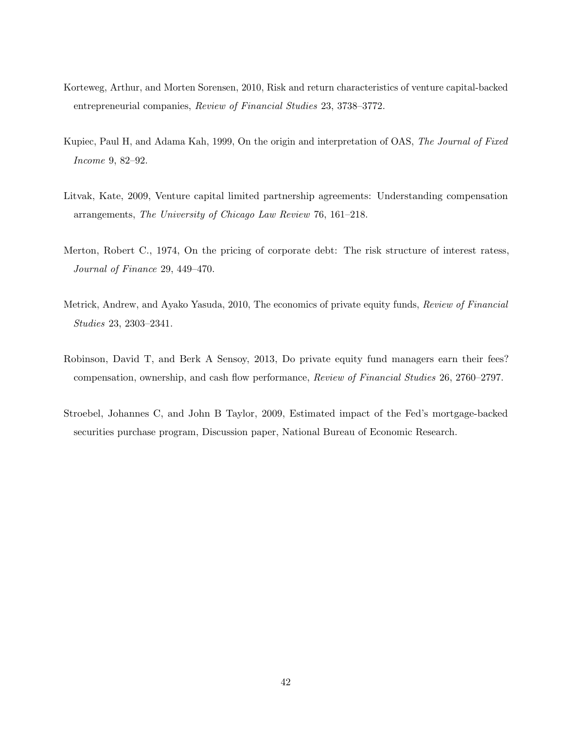- Korteweg, Arthur, and Morten Sorensen, 2010, Risk and return characteristics of venture capital-backed entrepreneurial companies, Review of Financial Studies 23, 3738–3772.
- Kupiec, Paul H, and Adama Kah, 1999, On the origin and interpretation of OAS, The Journal of Fixed Income 9, 82–92.
- Litvak, Kate, 2009, Venture capital limited partnership agreements: Understanding compensation arrangements, The University of Chicago Law Review 76, 161–218.
- Merton, Robert C., 1974, On the pricing of corporate debt: The risk structure of interest ratess, Journal of Finance 29, 449–470.
- Metrick, Andrew, and Ayako Yasuda, 2010, The economics of private equity funds, Review of Financial Studies 23, 2303–2341.
- Robinson, David T, and Berk A Sensoy, 2013, Do private equity fund managers earn their fees? compensation, ownership, and cash flow performance, Review of Financial Studies 26, 2760–2797.
- Stroebel, Johannes C, and John B Taylor, 2009, Estimated impact of the Fed's mortgage-backed securities purchase program, Discussion paper, National Bureau of Economic Research.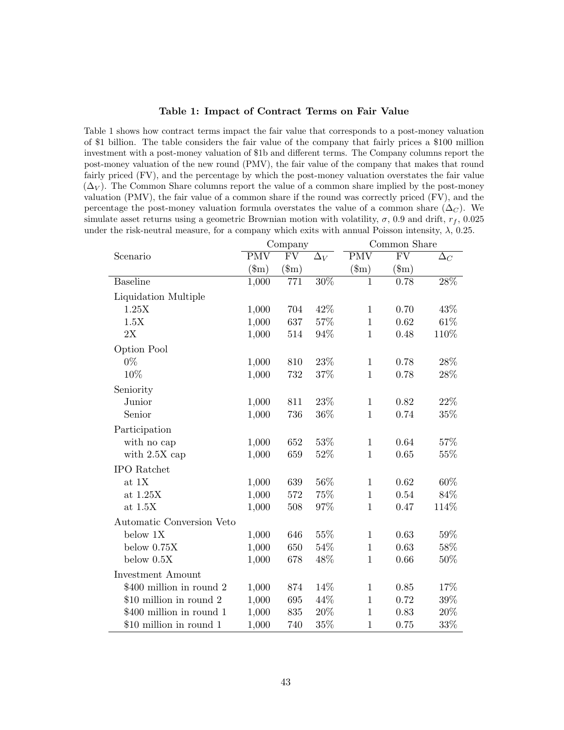#### Table 1: Impact of Contract Terms on Fair Value

Table 1 shows how contract terms impact the fair value that corresponds to a post-money valuation of \$1 billion. The table considers the fair value of the company that fairly prices a \$100 million investment with a post-money valuation of \$1b and different terms. The Company columns report the post-money valuation of the new round (PMV), the fair value of the company that makes that round fairly priced (FV), and the percentage by which the post-money valuation overstates the fair value  $(\Delta_V)$ . The Common Share columns report the value of a common share implied by the post-money valuation (PMV), the fair value of a common share if the round was correctly priced (FV), and the percentage the post-money valuation formula overstates the value of a common share  $(\Delta_C)$ . We simulate asset returns using a geometric Brownian motion with volatility,  $\sigma$ , 0.9 and drift,  $r_f$ , 0.025 under the risk-neutral measure, for a company which exits with annual Poisson intensity,  $\lambda$ , 0.25.

|                           |              | Company             |            |              | Common Share        |            |
|---------------------------|--------------|---------------------|------------|--------------|---------------------|------------|
| Scenario                  | <b>PMV</b>   | $\overline{\rm FV}$ | $\Delta_V$ | <b>PMV</b>   | $\overline{\rm FV}$ | $\Delta_C$ |
|                           | $(\text{m})$ | $(\text{\$m})$      |            | $(\text{m})$ | $(\mathbf{\$m})$    |            |
| <b>Baseline</b>           | 1,000        | 771                 | 30%        | $\mathbf{1}$ | 0.78                | 28%        |
| Liquidation Multiple      |              |                     |            |              |                     |            |
| 1.25X                     | 1,000        | 704                 | 42%        | $\mathbf{1}$ | 0.70                | 43%        |
| 1.5X                      | 1,000        | 637                 | 57%        | $\mathbf{1}$ | 0.62                | 61\%       |
| 2X                        | 1,000        | 514                 | 94%        | $\mathbf{1}$ | 0.48                | 110%       |
| Option Pool               |              |                     |            |              |                     |            |
| $0\%$                     | 1,000        | 810                 | 23%        | $\mathbf{1}$ | 0.78                | 28%        |
| 10%                       | 1,000        | 732                 | 37%        | $\mathbf{1}$ | 0.78                | 28%        |
| Seniority                 |              |                     |            |              |                     |            |
| Junior                    | 1,000        | 811                 | $23\%$     | $\mathbf{1}$ | 0.82                | $22\%$     |
| Senior                    | 1,000        | 736                 | 36%        | $\mathbf{1}$ | 0.74                | $35\%$     |
| Participation             |              |                     |            |              |                     |            |
| with no cap               | 1,000        | 652                 | 53%        | $\mathbf{1}$ | 0.64                | $57\%$     |
| with $2.5X$ cap           | 1,000        | 659                 | 52%        | $\mathbf{1}$ | 0.65                | $55\%$     |
| <b>IPO</b> Ratchet        |              |                     |            |              |                     |            |
| at $1X$                   | 1,000        | 639                 | $56\%$     | $\mathbf{1}$ | 0.62                | 60%        |
| at $1.25X$                | 1,000        | $572\,$             | 75%        | $\mathbf{1}$ | 0.54                | 84%        |
| at $1.5X$                 | 1,000        | 508                 | 97%        | $\mathbf{1}$ | 0.47                | 114%       |
| Automatic Conversion Veto |              |                     |            |              |                     |            |
| below 1X                  | 1,000        | 646                 | $55\%$     | $\mathbf{1}$ | 0.63                | 59%        |
| below $0.75X$             | 1,000        | 650                 | 54%        | $\mathbf{1}$ | 0.63                | $58\%$     |
| below $0.5X$              | 1,000        | 678                 | 48%        | $\mathbf{1}$ | 0.66                | $50\%$     |
| <b>Investment Amount</b>  |              |                     |            |              |                     |            |
| \$400 million in round 2  | 1,000        | 874                 | 14%        | $\mathbf{1}$ | 0.85                | 17%        |
| \$10 million in round 2   | 1,000        | 695                 | 44%        | $\mathbf{1}$ | 0.72                | $39\%$     |
| \$400 million in round 1  | 1,000        | 835                 | 20%        | $\mathbf{1}$ | 0.83                | $20\%$     |
| \$10 million in round 1   | 1,000        | 740                 | 35%        | $\mathbf{1}$ | 0.75                | 33%        |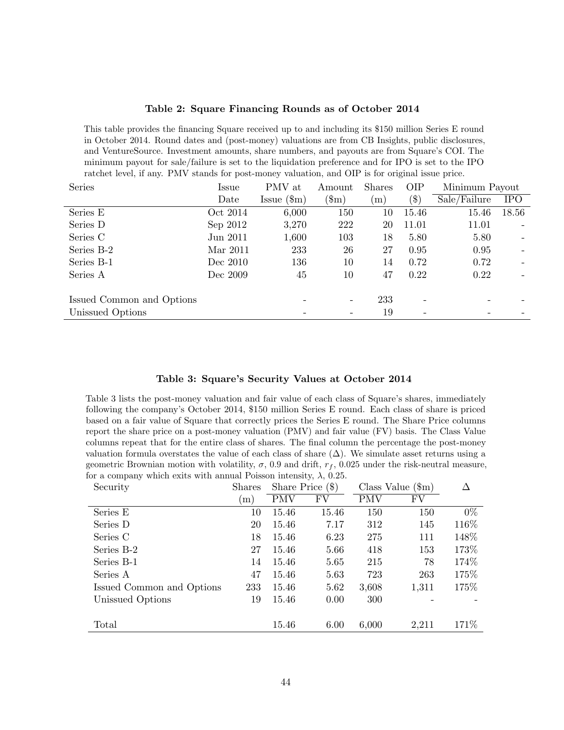#### Table 2: Square Financing Rounds as of October 2014

This table provides the financing Square received up to and including its \$150 million Series E round in October 2014. Round dates and (post-money) valuations are from CB Insights, public disclosures, and VentureSource. Investment amounts, share numbers, and payouts are from Square's COI. The minimum payout for sale/failure is set to the liquidation preference and for IPO is set to the IPO ratchet level, if any. PMV stands for post-money valuation, and OIP is for original issue price.

| Series                    | Issue    | PMV at                      | Amount         | <b>Shares</b>  | <b>OIP</b> | Minimum Payout |                          |
|---------------------------|----------|-----------------------------|----------------|----------------|------------|----------------|--------------------------|
|                           | Date     | $\text{Issue}~(\text{\$m})$ | $(\text{\$m})$ | $\mathbf{m}$ ) | $(\$)$     | Sale/Failure   | <b>IPO</b>               |
| Series E                  | Oct 2014 | 6,000                       | 150            | 10             | 15.46      | 15.46          | 18.56                    |
| Series D                  | Sep 2012 | 3,270                       | 222            | 20             | 11.01      | 11.01          |                          |
| Series C                  | Jun 2011 | 1,600                       | 103            | 18             | 5.80       | 5.80           |                          |
| Series B-2                | Mar 2011 | 233                         | 26             | 27             | 0.95       | 0.95           | $\overline{\phantom{a}}$ |
| Series B-1                | Dec 2010 | 136                         | 10             | 14             | 0.72       | 0.72           | $\overline{\phantom{a}}$ |
| Series A                  | Dec 2009 | 45                          | 10             | 47             | 0.22       | 0.22           |                          |
| Issued Common and Options |          |                             |                | 233            |            |                |                          |
| Unissued Options          |          | $\qquad \qquad -$           | -              | 19             |            |                |                          |

#### Table 3: Square's Security Values at October 2014

Table 3 lists the post-money valuation and fair value of each class of Square's shares, immediately following the company's October 2014, \$150 million Series E round. Each class of share is priced based on a fair value of Square that correctly prices the Series E round. The Share Price columns report the share price on a post-money valuation (PMV) and fair value (FV) basis. The Class Value columns repeat that for the entire class of shares. The final column the percentage the post-money valuation formula overstates the value of each class of share  $(\Delta)$ . We simulate asset returns using a geometric Brownian motion with volatility,  $\sigma$ , 0.9 and drift,  $r_f$ , 0.025 under the risk-neutral measure, for a company which exits with annual Poisson intensity,  $\lambda$ , 0.25.

| Security                  | <b>Shares</b>       | Share Price $(\$)$ |       |            | Class Value $(\text{m})$ | Δ     |
|---------------------------|---------------------|--------------------|-------|------------|--------------------------|-------|
|                           | $\lfloor m \rfloor$ | <b>PMV</b>         | FV    | <b>PMV</b> | FV                       |       |
| Series E                  | 10                  | 15.46              | 15.46 | 150        | 150                      | $0\%$ |
| Series D                  | 20                  | 15.46              | 7.17  | 312        | 145                      | 116\% |
| Series C                  | 18                  | 15.46              | 6.23  | 275        | 111                      | 148\% |
| Series B-2                | 27                  | 15.46              | 5.66  | 418        | 153                      | 173%  |
| Series B-1                | 14                  | 15.46              | 5.65  | 215        | 78                       | 174\% |
| Series A                  | 47                  | 15.46              | 5.63  | 723        | 263                      | 175%  |
| Issued Common and Options | 233                 | 15.46              | 5.62  | 3,608      | 1,311                    | 175%  |
| Unissued Options          | 19                  | 15.46              | 0.00  | 300        |                          |       |
|                           |                     |                    |       |            |                          |       |
| Total                     |                     | 15.46              | 6.00  | 6,000      | 2,211                    | 171\% |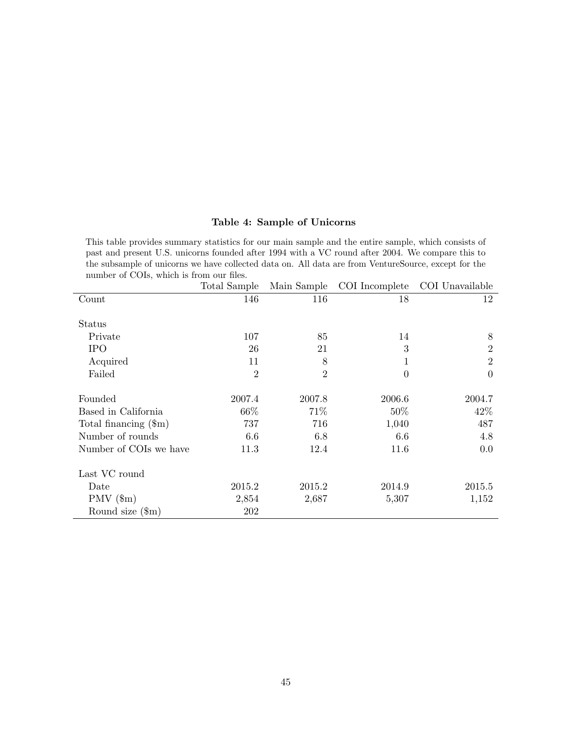## Table 4: Sample of Unicorns

This table provides summary statistics for our main sample and the entire sample, which consists of past and present U.S. unicorns founded after 1994 with a VC round after 2004. We compare this to the subsample of unicorns we have collected data on. All data are from VentureSource, except for the number of COIs, which is from our files.

|                               | Total Sample   | Main Sample    | COI Incomplete | COI Unavailable |
|-------------------------------|----------------|----------------|----------------|-----------------|
| Count                         | 146            | 116            | 18             | 12              |
|                               |                |                |                |                 |
| <b>Status</b>                 |                |                |                |                 |
| Private                       | 107            | 85             | 14             | 8               |
| <b>IPO</b>                    | 26             | 21             | 3              | $\overline{2}$  |
| Acquired                      | 11             | 8              | 1              | $\overline{2}$  |
| Failed                        | $\overline{2}$ | $\overline{2}$ | $\overline{0}$ | $\theta$        |
|                               |                |                |                |                 |
| Founded                       | 2007.4         | 2007.8         | 2006.6         | 2004.7          |
| Based in California           | 66\%           | 71\%           | 50\%           | 42\%            |
| Total financing $(\text{Im})$ | 737            | 716            | 1,040          | 487             |
| Number of rounds              | 6.6            | 6.8            | 6.6            | 4.8             |
| Number of COIs we have        | 11.3           | 12.4           | 11.6           | 0.0             |
|                               |                |                |                |                 |
| Last VC round                 |                |                |                |                 |
| Date                          | 2015.2         | 2015.2         | 2014.9         | 2015.5          |
| $PMV$ (\$m)                   | 2,854          | 2,687          | 5,307          | 1,152           |
| Round size $(\text{\$m})$     | 202            |                |                |                 |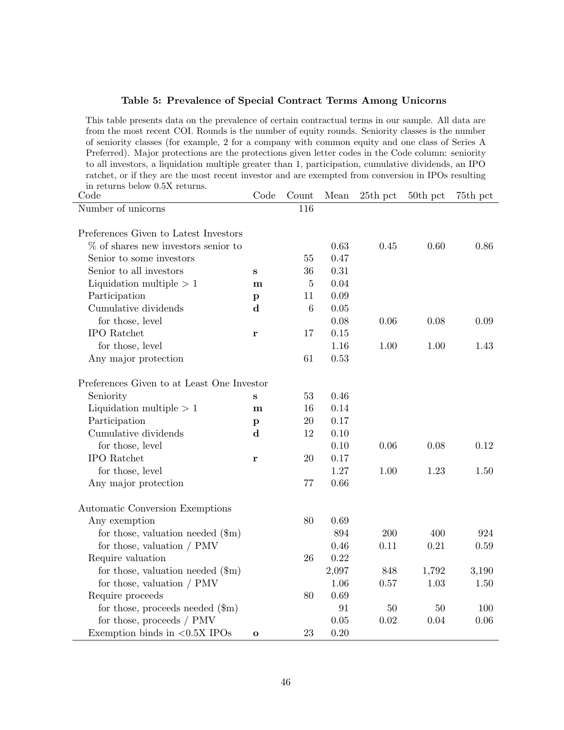| Preferred). Major protections are the protections given letter codes in the Code column: seniority<br>to all investors, a liquidation multiple greater than 1, participation, cumulative dividends, an IPO<br>ratchet, or if they are the most recent investor and are exempted from conversion in IPOs resulting<br>in returns below 0.5X returns.<br>Code<br>Count<br>Code<br>Mean<br>25th pct<br>50th pct<br>75th pct<br>Number of unicorns<br>116<br>Preferences Given to Latest Investors<br>$\%$ of shares new investors senior to<br>0.63<br>0.60<br>0.86<br>0.45<br>Senior to some investors<br>0.47<br>55<br>Senior to all investors<br>36<br>0.31<br>S<br>Liquidation multiple $> 1$<br>0.04<br>$\overline{5}$<br>m<br>0.09<br>Participation<br>11<br>$\mathbf{p}$<br>Cumulative dividends<br>$\mathbf d$<br>6<br>$0.05\,$<br>for those, level<br>0.08<br>0.08<br>0.06<br>0.09<br><b>IPO</b> Ratchet<br>0.15<br>17<br>r<br>for those, level<br>1.00<br>1.00<br>1.16<br>1.43<br>61<br>0.53<br>Any major protection<br>Preferences Given to at Least One Investor<br>Seniority<br>53<br>0.46<br>S<br>Liquidation multiple $> 1$<br>0.14<br>16<br>m<br>Participation<br>0.17<br>20<br>$\mathbf{p}$<br>Cumulative dividends<br>$\mathbf d$<br>12<br>0.10<br>for those, level<br>0.10<br>0.06<br>0.08<br>0.12<br><b>IPO</b> Ratchet<br>$20\,$<br>0.17<br>r<br>for those, level<br>1.27<br>1.00<br>1.23<br>1.50<br>77<br>0.66<br>Any major protection<br>Automatic Conversion Exemptions<br>Any exemption<br>80<br>0.69<br>for those, valuation needed $(\text{m})$<br>894<br>200<br>400<br>924<br>0.21<br>for those, valuation $/$ PMV<br>0.46<br>0.11<br>0.59<br>Require valuation<br>$26\,$<br>0.22<br>for those, valuation needed $(\text{\$m})$<br>2,097<br>848<br>1,792<br>3,190<br>for those, valuation $/$ PMV<br>0.57<br>1.03<br>1.06<br>1.50<br>Require proceeds<br>$0.69\,$<br>80<br>for those, proceeds needed $(\text{\$m})$<br>91<br>50<br>50<br>100<br>for those, proceeds / PMV<br>0.05<br>$0.02\,$<br>0.04<br>0.06<br>Exemption binds in $\langle 0.5X \text{ IPOs} \rangle$<br>$0.20\,$<br>23<br>$\mathbf{o}$ | of seniority classes (for example, 2 for a company with common equity and one class of Series A |  |  |  |
|-------------------------------------------------------------------------------------------------------------------------------------------------------------------------------------------------------------------------------------------------------------------------------------------------------------------------------------------------------------------------------------------------------------------------------------------------------------------------------------------------------------------------------------------------------------------------------------------------------------------------------------------------------------------------------------------------------------------------------------------------------------------------------------------------------------------------------------------------------------------------------------------------------------------------------------------------------------------------------------------------------------------------------------------------------------------------------------------------------------------------------------------------------------------------------------------------------------------------------------------------------------------------------------------------------------------------------------------------------------------------------------------------------------------------------------------------------------------------------------------------------------------------------------------------------------------------------------------------------------------------------------------------------------------------------------------------------------------------------------------------------------------------------------------------------------------------------------------------------------------------------------------------------------------------------------------------------------------------------------------------------------------------------------------------------------------------------------------------------------------------------------|-------------------------------------------------------------------------------------------------|--|--|--|
|                                                                                                                                                                                                                                                                                                                                                                                                                                                                                                                                                                                                                                                                                                                                                                                                                                                                                                                                                                                                                                                                                                                                                                                                                                                                                                                                                                                                                                                                                                                                                                                                                                                                                                                                                                                                                                                                                                                                                                                                                                                                                                                                     |                                                                                                 |  |  |  |
|                                                                                                                                                                                                                                                                                                                                                                                                                                                                                                                                                                                                                                                                                                                                                                                                                                                                                                                                                                                                                                                                                                                                                                                                                                                                                                                                                                                                                                                                                                                                                                                                                                                                                                                                                                                                                                                                                                                                                                                                                                                                                                                                     |                                                                                                 |  |  |  |
|                                                                                                                                                                                                                                                                                                                                                                                                                                                                                                                                                                                                                                                                                                                                                                                                                                                                                                                                                                                                                                                                                                                                                                                                                                                                                                                                                                                                                                                                                                                                                                                                                                                                                                                                                                                                                                                                                                                                                                                                                                                                                                                                     |                                                                                                 |  |  |  |
|                                                                                                                                                                                                                                                                                                                                                                                                                                                                                                                                                                                                                                                                                                                                                                                                                                                                                                                                                                                                                                                                                                                                                                                                                                                                                                                                                                                                                                                                                                                                                                                                                                                                                                                                                                                                                                                                                                                                                                                                                                                                                                                                     |                                                                                                 |  |  |  |
|                                                                                                                                                                                                                                                                                                                                                                                                                                                                                                                                                                                                                                                                                                                                                                                                                                                                                                                                                                                                                                                                                                                                                                                                                                                                                                                                                                                                                                                                                                                                                                                                                                                                                                                                                                                                                                                                                                                                                                                                                                                                                                                                     |                                                                                                 |  |  |  |
|                                                                                                                                                                                                                                                                                                                                                                                                                                                                                                                                                                                                                                                                                                                                                                                                                                                                                                                                                                                                                                                                                                                                                                                                                                                                                                                                                                                                                                                                                                                                                                                                                                                                                                                                                                                                                                                                                                                                                                                                                                                                                                                                     |                                                                                                 |  |  |  |
|                                                                                                                                                                                                                                                                                                                                                                                                                                                                                                                                                                                                                                                                                                                                                                                                                                                                                                                                                                                                                                                                                                                                                                                                                                                                                                                                                                                                                                                                                                                                                                                                                                                                                                                                                                                                                                                                                                                                                                                                                                                                                                                                     |                                                                                                 |  |  |  |
|                                                                                                                                                                                                                                                                                                                                                                                                                                                                                                                                                                                                                                                                                                                                                                                                                                                                                                                                                                                                                                                                                                                                                                                                                                                                                                                                                                                                                                                                                                                                                                                                                                                                                                                                                                                                                                                                                                                                                                                                                                                                                                                                     |                                                                                                 |  |  |  |
|                                                                                                                                                                                                                                                                                                                                                                                                                                                                                                                                                                                                                                                                                                                                                                                                                                                                                                                                                                                                                                                                                                                                                                                                                                                                                                                                                                                                                                                                                                                                                                                                                                                                                                                                                                                                                                                                                                                                                                                                                                                                                                                                     |                                                                                                 |  |  |  |
|                                                                                                                                                                                                                                                                                                                                                                                                                                                                                                                                                                                                                                                                                                                                                                                                                                                                                                                                                                                                                                                                                                                                                                                                                                                                                                                                                                                                                                                                                                                                                                                                                                                                                                                                                                                                                                                                                                                                                                                                                                                                                                                                     |                                                                                                 |  |  |  |
|                                                                                                                                                                                                                                                                                                                                                                                                                                                                                                                                                                                                                                                                                                                                                                                                                                                                                                                                                                                                                                                                                                                                                                                                                                                                                                                                                                                                                                                                                                                                                                                                                                                                                                                                                                                                                                                                                                                                                                                                                                                                                                                                     |                                                                                                 |  |  |  |
|                                                                                                                                                                                                                                                                                                                                                                                                                                                                                                                                                                                                                                                                                                                                                                                                                                                                                                                                                                                                                                                                                                                                                                                                                                                                                                                                                                                                                                                                                                                                                                                                                                                                                                                                                                                                                                                                                                                                                                                                                                                                                                                                     |                                                                                                 |  |  |  |
|                                                                                                                                                                                                                                                                                                                                                                                                                                                                                                                                                                                                                                                                                                                                                                                                                                                                                                                                                                                                                                                                                                                                                                                                                                                                                                                                                                                                                                                                                                                                                                                                                                                                                                                                                                                                                                                                                                                                                                                                                                                                                                                                     |                                                                                                 |  |  |  |
|                                                                                                                                                                                                                                                                                                                                                                                                                                                                                                                                                                                                                                                                                                                                                                                                                                                                                                                                                                                                                                                                                                                                                                                                                                                                                                                                                                                                                                                                                                                                                                                                                                                                                                                                                                                                                                                                                                                                                                                                                                                                                                                                     |                                                                                                 |  |  |  |
|                                                                                                                                                                                                                                                                                                                                                                                                                                                                                                                                                                                                                                                                                                                                                                                                                                                                                                                                                                                                                                                                                                                                                                                                                                                                                                                                                                                                                                                                                                                                                                                                                                                                                                                                                                                                                                                                                                                                                                                                                                                                                                                                     |                                                                                                 |  |  |  |
|                                                                                                                                                                                                                                                                                                                                                                                                                                                                                                                                                                                                                                                                                                                                                                                                                                                                                                                                                                                                                                                                                                                                                                                                                                                                                                                                                                                                                                                                                                                                                                                                                                                                                                                                                                                                                                                                                                                                                                                                                                                                                                                                     |                                                                                                 |  |  |  |
|                                                                                                                                                                                                                                                                                                                                                                                                                                                                                                                                                                                                                                                                                                                                                                                                                                                                                                                                                                                                                                                                                                                                                                                                                                                                                                                                                                                                                                                                                                                                                                                                                                                                                                                                                                                                                                                                                                                                                                                                                                                                                                                                     |                                                                                                 |  |  |  |
|                                                                                                                                                                                                                                                                                                                                                                                                                                                                                                                                                                                                                                                                                                                                                                                                                                                                                                                                                                                                                                                                                                                                                                                                                                                                                                                                                                                                                                                                                                                                                                                                                                                                                                                                                                                                                                                                                                                                                                                                                                                                                                                                     |                                                                                                 |  |  |  |
|                                                                                                                                                                                                                                                                                                                                                                                                                                                                                                                                                                                                                                                                                                                                                                                                                                                                                                                                                                                                                                                                                                                                                                                                                                                                                                                                                                                                                                                                                                                                                                                                                                                                                                                                                                                                                                                                                                                                                                                                                                                                                                                                     |                                                                                                 |  |  |  |
|                                                                                                                                                                                                                                                                                                                                                                                                                                                                                                                                                                                                                                                                                                                                                                                                                                                                                                                                                                                                                                                                                                                                                                                                                                                                                                                                                                                                                                                                                                                                                                                                                                                                                                                                                                                                                                                                                                                                                                                                                                                                                                                                     |                                                                                                 |  |  |  |
|                                                                                                                                                                                                                                                                                                                                                                                                                                                                                                                                                                                                                                                                                                                                                                                                                                                                                                                                                                                                                                                                                                                                                                                                                                                                                                                                                                                                                                                                                                                                                                                                                                                                                                                                                                                                                                                                                                                                                                                                                                                                                                                                     |                                                                                                 |  |  |  |
|                                                                                                                                                                                                                                                                                                                                                                                                                                                                                                                                                                                                                                                                                                                                                                                                                                                                                                                                                                                                                                                                                                                                                                                                                                                                                                                                                                                                                                                                                                                                                                                                                                                                                                                                                                                                                                                                                                                                                                                                                                                                                                                                     |                                                                                                 |  |  |  |
|                                                                                                                                                                                                                                                                                                                                                                                                                                                                                                                                                                                                                                                                                                                                                                                                                                                                                                                                                                                                                                                                                                                                                                                                                                                                                                                                                                                                                                                                                                                                                                                                                                                                                                                                                                                                                                                                                                                                                                                                                                                                                                                                     |                                                                                                 |  |  |  |
|                                                                                                                                                                                                                                                                                                                                                                                                                                                                                                                                                                                                                                                                                                                                                                                                                                                                                                                                                                                                                                                                                                                                                                                                                                                                                                                                                                                                                                                                                                                                                                                                                                                                                                                                                                                                                                                                                                                                                                                                                                                                                                                                     |                                                                                                 |  |  |  |
|                                                                                                                                                                                                                                                                                                                                                                                                                                                                                                                                                                                                                                                                                                                                                                                                                                                                                                                                                                                                                                                                                                                                                                                                                                                                                                                                                                                                                                                                                                                                                                                                                                                                                                                                                                                                                                                                                                                                                                                                                                                                                                                                     |                                                                                                 |  |  |  |
|                                                                                                                                                                                                                                                                                                                                                                                                                                                                                                                                                                                                                                                                                                                                                                                                                                                                                                                                                                                                                                                                                                                                                                                                                                                                                                                                                                                                                                                                                                                                                                                                                                                                                                                                                                                                                                                                                                                                                                                                                                                                                                                                     |                                                                                                 |  |  |  |
|                                                                                                                                                                                                                                                                                                                                                                                                                                                                                                                                                                                                                                                                                                                                                                                                                                                                                                                                                                                                                                                                                                                                                                                                                                                                                                                                                                                                                                                                                                                                                                                                                                                                                                                                                                                                                                                                                                                                                                                                                                                                                                                                     |                                                                                                 |  |  |  |
|                                                                                                                                                                                                                                                                                                                                                                                                                                                                                                                                                                                                                                                                                                                                                                                                                                                                                                                                                                                                                                                                                                                                                                                                                                                                                                                                                                                                                                                                                                                                                                                                                                                                                                                                                                                                                                                                                                                                                                                                                                                                                                                                     |                                                                                                 |  |  |  |
|                                                                                                                                                                                                                                                                                                                                                                                                                                                                                                                                                                                                                                                                                                                                                                                                                                                                                                                                                                                                                                                                                                                                                                                                                                                                                                                                                                                                                                                                                                                                                                                                                                                                                                                                                                                                                                                                                                                                                                                                                                                                                                                                     |                                                                                                 |  |  |  |
|                                                                                                                                                                                                                                                                                                                                                                                                                                                                                                                                                                                                                                                                                                                                                                                                                                                                                                                                                                                                                                                                                                                                                                                                                                                                                                                                                                                                                                                                                                                                                                                                                                                                                                                                                                                                                                                                                                                                                                                                                                                                                                                                     |                                                                                                 |  |  |  |
|                                                                                                                                                                                                                                                                                                                                                                                                                                                                                                                                                                                                                                                                                                                                                                                                                                                                                                                                                                                                                                                                                                                                                                                                                                                                                                                                                                                                                                                                                                                                                                                                                                                                                                                                                                                                                                                                                                                                                                                                                                                                                                                                     |                                                                                                 |  |  |  |
|                                                                                                                                                                                                                                                                                                                                                                                                                                                                                                                                                                                                                                                                                                                                                                                                                                                                                                                                                                                                                                                                                                                                                                                                                                                                                                                                                                                                                                                                                                                                                                                                                                                                                                                                                                                                                                                                                                                                                                                                                                                                                                                                     |                                                                                                 |  |  |  |
|                                                                                                                                                                                                                                                                                                                                                                                                                                                                                                                                                                                                                                                                                                                                                                                                                                                                                                                                                                                                                                                                                                                                                                                                                                                                                                                                                                                                                                                                                                                                                                                                                                                                                                                                                                                                                                                                                                                                                                                                                                                                                                                                     |                                                                                                 |  |  |  |
|                                                                                                                                                                                                                                                                                                                                                                                                                                                                                                                                                                                                                                                                                                                                                                                                                                                                                                                                                                                                                                                                                                                                                                                                                                                                                                                                                                                                                                                                                                                                                                                                                                                                                                                                                                                                                                                                                                                                                                                                                                                                                                                                     |                                                                                                 |  |  |  |
|                                                                                                                                                                                                                                                                                                                                                                                                                                                                                                                                                                                                                                                                                                                                                                                                                                                                                                                                                                                                                                                                                                                                                                                                                                                                                                                                                                                                                                                                                                                                                                                                                                                                                                                                                                                                                                                                                                                                                                                                                                                                                                                                     |                                                                                                 |  |  |  |
|                                                                                                                                                                                                                                                                                                                                                                                                                                                                                                                                                                                                                                                                                                                                                                                                                                                                                                                                                                                                                                                                                                                                                                                                                                                                                                                                                                                                                                                                                                                                                                                                                                                                                                                                                                                                                                                                                                                                                                                                                                                                                                                                     |                                                                                                 |  |  |  |
|                                                                                                                                                                                                                                                                                                                                                                                                                                                                                                                                                                                                                                                                                                                                                                                                                                                                                                                                                                                                                                                                                                                                                                                                                                                                                                                                                                                                                                                                                                                                                                                                                                                                                                                                                                                                                                                                                                                                                                                                                                                                                                                                     |                                                                                                 |  |  |  |
|                                                                                                                                                                                                                                                                                                                                                                                                                                                                                                                                                                                                                                                                                                                                                                                                                                                                                                                                                                                                                                                                                                                                                                                                                                                                                                                                                                                                                                                                                                                                                                                                                                                                                                                                                                                                                                                                                                                                                                                                                                                                                                                                     |                                                                                                 |  |  |  |
|                                                                                                                                                                                                                                                                                                                                                                                                                                                                                                                                                                                                                                                                                                                                                                                                                                                                                                                                                                                                                                                                                                                                                                                                                                                                                                                                                                                                                                                                                                                                                                                                                                                                                                                                                                                                                                                                                                                                                                                                                                                                                                                                     |                                                                                                 |  |  |  |

### Table 5: Prevalence of Special Contract Terms Among Unicorns

This table presents data on the prevalence of certain contractual terms in our sample. All data are from the most recent COI. Rounds is the number of equity rounds. Seniority classes is the number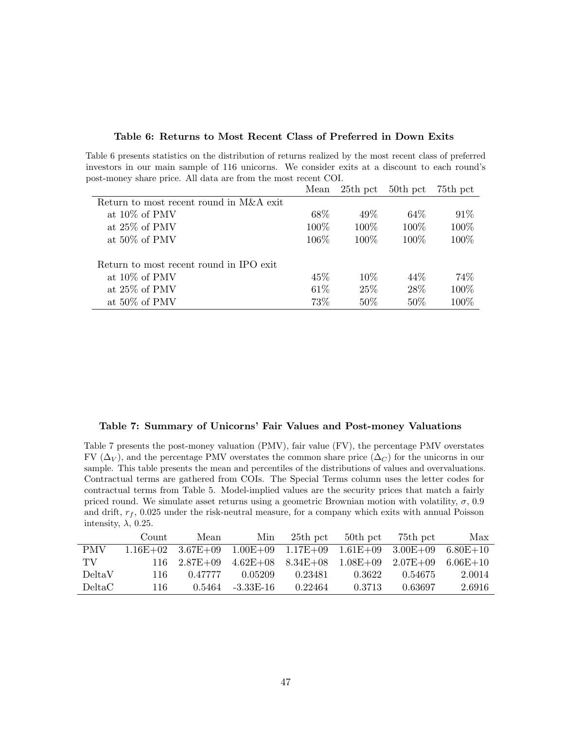#### Table 6: Returns to Most Recent Class of Preferred in Down Exits

Table 6 presents statistics on the distribution of returns realized by the most recent class of preferred investors in our main sample of 116 unicorns. We consider exits at a discount to each round's post-money share price. All data are from the most recent COI.

|                                         | Mean    | $25th$ pct | 50th pct | 75th pct |
|-----------------------------------------|---------|------------|----------|----------|
| Return to most recent round in M&A exit |         |            |          |          |
| at $10\%$ of PMV                        | 68\%    | 49\%       | 64\%     | 91\%     |
| at $25\%$ of PMV                        | $100\%$ | $100\%$    | 100\%    | 100%     |
| at $50\%$ of PMV                        | 106\%   | $100\%$    | 100\%    | 100%     |
|                                         |         |            |          |          |
| Return to most recent round in IPO exit |         |            |          |          |
| at $10\%$ of PMV                        | 45%     | 10\%       | 44\%     | 74\%     |
| at $25\%$ of PMV                        | 61%     | 25\%       | 28\%     | 100%     |
| at 50% of PMV                           | 73%     | 50%        | $50\%$   | 100%     |

#### Table 7: Summary of Unicorns' Fair Values and Post-money Valuations

Table 7 presents the post-money valuation (PMV), fair value (FV), the percentage PMV overstates FV ( $\Delta_V$ ), and the percentage PMV overstates the common share price ( $\Delta_C$ ) for the unicorns in our sample. This table presents the mean and percentiles of the distributions of values and overvaluations. Contractual terms are gathered from COIs. The Special Terms column uses the letter codes for contractual terms from Table 5. Model-implied values are the security prices that match a fairly priced round. We simulate asset returns using a geometric Brownian motion with volatility,  $\sigma$ , 0.9 and drift,  $r_f$ , 0.025 under the risk-neutral measure, for a company which exits with annual Poisson intensity,  $\lambda$ , 0.25.

|            | Count | Mean                    | Min                              | 25th pct                         | $50th$ pct | 75th pct                | Max          |
|------------|-------|-------------------------|----------------------------------|----------------------------------|------------|-------------------------|--------------|
| <b>PMV</b> |       | $1.16E+02$ $3.67E+09$   | $1.00E+09$ $1.17E+09$ $1.61E+09$ |                                  |            | $3.00E + 09$ 6.80E + 10 |              |
| TV.        |       | $116 \quad 2.87E + 0.9$ |                                  | $4.62E+08$ $8.34E+08$ $1.08E+09$ |            | $2.07E + 0.9$           | $6.06E + 10$ |
| DeltaV     | 116.  | 0.47777                 | 0.05209                          | 0.23481                          | 0.3622     | 0.54675                 | 2.0014       |
| DeltaC     | 116.  | 0.5464                  | $-3.33E-16$                      | 0.22464                          | 0.3713     | 0.63697                 | 2.6916       |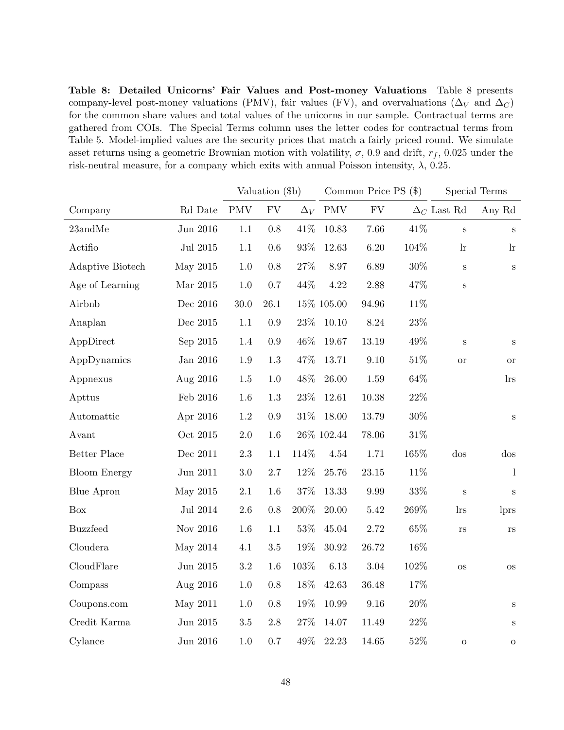Table 8: Detailed Unicorns' Fair Values and Post-money Valuations Table 8 presents company-level post-money valuations (PMV), fair values (FV), and overvaluations ( $\Delta_V$  and  $\Delta_C$ ) for the common share values and total values of the unicorns in our sample. Contractual terms are gathered from COIs. The Special Terms column uses the letter codes for contractual terms from Table 5. Model-implied values are the security prices that match a fairly priced round. We simulate asset returns using a geometric Brownian motion with volatility,  $\sigma$ , 0.9 and drift,  $r_f$ , 0.025 under the risk-neutral measure, for a company which exits with annual Poisson intensity,  $\lambda$ , 0.25.

|                     |            | Valuation (\$b)      |            |         |                | Common Price PS $(\$)$ | Special Terms |                    |                       |
|---------------------|------------|----------------------|------------|---------|----------------|------------------------|---------------|--------------------|-----------------------|
| Company             | Rd Date    | $\operatorname{PMV}$ | ${\rm FV}$ |         | $\Delta_V$ PMV | <b>FV</b>              |               | $\Delta_C$ Last Rd | Any Rd                |
| $23$ and $Me$       | Jun 2016   | 1.1                  | $0.8\,$    | 41\%    | 10.83          | 7.66                   | 41\%          | $\, {\bf S}$       | S                     |
| Actifio             | Jul 2015   | 1.1                  | $0.6\,$    | $93\%$  | 12.63          | $6.20\,$               | 104\%         | $\ln$              | $\ln$                 |
| Adaptive Biotech    | May 2015   | 1.0                  | $0.8\,$    | $27\%$  | 8.97           | 6.89                   | $30\%$        | $\, {\bf S}$       | $\, {\bf S}$          |
| Age of Learning     | Mar 2015   | 1.0                  | 0.7        | 44%     | 4.22           | $2.88\,$               | 47%           | $\, {\bf S}$       |                       |
| Airbnb              | Dec 2016   | 30.0                 | $26.1\,$   |         | 15% 105.00     | 94.96                  | 11\%          |                    |                       |
| Anaplan             | Dec 2015   | 1.1                  | $0.9\,$    | $23\%$  | 10.10          | 8.24                   | $23\%$        |                    |                       |
| AppDirect           | Sep 2015   | 1.4                  | $\rm 0.9$  | 46\%    | 19.67          | 13.19                  | 49%           | $\, {\bf S}$       | S                     |
| AppDynamics         | Jan 2016   | 1.9                  | $1.3\,$    | 47%     | 13.71          | 9.10                   | $51\%$        | <b>or</b>          | $\hbox{or}\hskip 1pt$ |
| Appnexus            | Aug 2016   | 1.5                  | 1.0        | 48\%    | 26.00          | 1.59                   | $64\%$        |                    | $\ln s$               |
| Apttus              | Feb 2016   | 1.6                  | $1.3\,$    | $23\%$  | 12.61          | $10.38\,$              | $22\%$        |                    |                       |
| Automattic          | Apr 2016   | 1.2                  | 0.9        | $31\%$  | 18.00          | 13.79                  | $30\%$        |                    | $\mathbf S$           |
| Avant               | Oct 2015   | 2.0                  | 1.6        |         | $26\%$ 102.44  | 78.06                  | $31\%$        |                    |                       |
| Better Place        | Dec $2011$ | $2.3\,$              | 1.1        | 114%    | 4.54           | 1.71                   | 165%          | $\cos$             | $\cos$                |
| <b>Bloom Energy</b> | Jun 2011   | 3.0                  | 2.7        | $12\%$  | 25.76          | 23.15                  | 11%           |                    | $\mathbf{l}$          |
| <b>Blue Apron</b>   | May 2015   | 2.1                  | 1.6        | $37\%$  | 13.33          | 9.99                   | $33\%$        | $\mathbf S$        | $\mathbf S$           |
| <b>Box</b>          | Jul 2014   | 2.6                  | 0.8        | $200\%$ | 20.00          | $5.42\,$               | $269\%$       | $\ln s$            | lprs                  |
| <b>Buzzfeed</b>     | Nov 2016   | 1.6                  | 1.1        | $53\%$  | 45.04          | 2.72                   | $65\%$        | $\rm{rs}$          | $_{\rm{rs}}$          |
| Cloudera            | May 2014   | 4.1                  | $3.5\,$    | $19\%$  | 30.92          | 26.72                  | $16\%$        |                    |                       |
| CloudFlare          | Jun 2015   | $\!3.2\!$            | 1.6        | 103%    | 6.13           | $3.04\,$               | 102%          | <b>OS</b>          | <b>OS</b>             |
| Compass             | Aug 2016   | 1.0                  | 0.8        | 18%     | 42.63          | 36.48                  | 17%           |                    |                       |
| Coupons.com         | May 2011   | 1.0                  | $0.8\,$    | 19%     | 10.99          | 9.16                   | 20%           |                    | $\mathbf S$           |
| Credit Karma        | Jun 2015   | $3.5\,$              | $2.8\,$    | $27\%$  | 14.07          | 11.49                  | $22\%$        |                    | $\mathbf S$           |
| Cylance             | Jun 2016   | 1.0                  | $0.7\,$    | 49%     | 22.23          | 14.65                  | $52\%$        | ${\rm O}$          | ${\rm O}$             |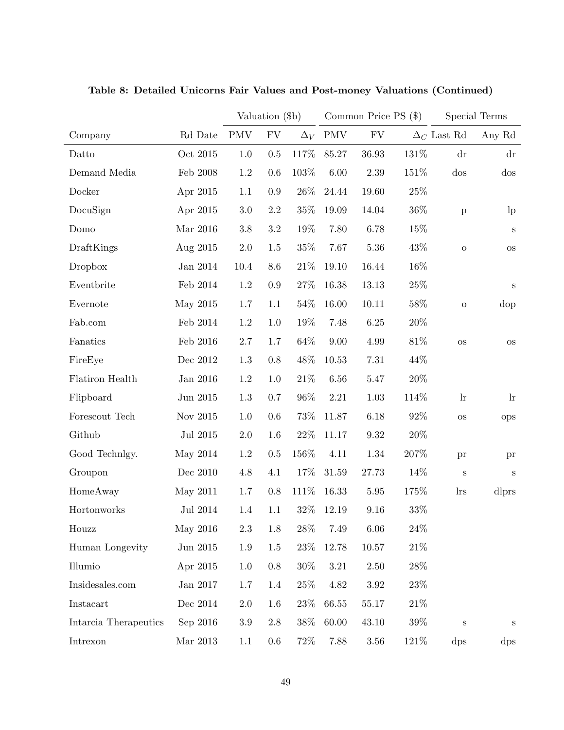|                       |              | Valuation (\$b) |            |            | Common Price PS $(\$)$ |            |        | Special Terms          |                        |  |
|-----------------------|--------------|-----------------|------------|------------|------------------------|------------|--------|------------------------|------------------------|--|
| Company               | Rd Date      | <b>PMV</b>      | ${\rm FV}$ | $\Delta_V$ | <b>PMV</b>             | ${\rm FV}$ |        | $\Delta_C$ Last Rd     | Any Rd                 |  |
| Datto                 | Oct $2015\,$ | 1.0             | 0.5        | 117%       | 85.27                  | 36.93      | 131%   | $\mathrm{d}\mathbf{r}$ | $\mathrm{d}\mathrm{r}$ |  |
| Demand Media          | Feb 2008     | 1.2             | 0.6        | 103%       | $6.00\,$               | 2.39       | 151%   | $\cos$                 | $\cos$                 |  |
| Docker                | Apr 2015     | 1.1             | 0.9        | $26\%$     | 24.44                  | 19.60      | 25\%   |                        |                        |  |
| DocuSign              | Apr 2015     | $3.0\,$         | $2.2\,$    | $35\%$     | 19.09                  | 14.04      | $36\%$ | $\, {\bf p}$           | $\ln$                  |  |
| Domo                  | Mar 2016     | 3.8             | $3.2\,$    | 19%        | 7.80                   | 6.78       | 15%    |                        | S                      |  |
| DraftKings            | Aug 2015     | $2.0\,$         | 1.5        | $35\%$     | 7.67                   | 5.36       | 43%    | ${\rm O}$              | <b>OS</b>              |  |
| Dropbox               | Jan 2014     | 10.4            | 8.6        | $21\%$     | 19.10                  | 16.44      | 16%    |                        |                        |  |
| Eventbrite            | Feb 2014     | 1.2             | 0.9        | $27\%$     | 16.38                  | 13.13      | 25\%   |                        | $\mathbf S$            |  |
| Evernote              | May 2015     | 1.7             | 1.1        | $54\%$     | 16.00                  | 10.11      | 58%    | ${\rm O}$              | dop                    |  |
| Fab.com               | Feb 2014     | 1.2             | 1.0        | 19%        | 7.48                   | $6.25\,$   | $20\%$ |                        |                        |  |
| Fanatics              | Feb 2016     | 2.7             | 1.7        | 64\%       | 9.00                   | 4.99       | $81\%$ | $\rm OS$               | <b>OS</b>              |  |
| FireEye               | Dec 2012     | 1.3             | 0.8        | $48\%$     | 10.53                  | $7.31\,$   | 44\%   |                        |                        |  |
| Flatiron Health       | Jan 2016     | 1.2             | 1.0        | $21\%$     | 6.56                   | $5.47\,$   | $20\%$ |                        |                        |  |
| Flipboard             | Jun 2015     | 1.3             | 0.7        | 96%        | 2.21                   | 1.03       | 114%   | $\ln$                  | $\ln$                  |  |
| Forescout Tech        | Nov 2015     | 1.0             | 0.6        | $73\%$     | 11.87                  | 6.18       | 92%    | $\rm OS$               | ops                    |  |
| Github                | Jul 2015     | 2.0             | 1.6        | $22\%$     | 11.17                  | 9.32       | $20\%$ |                        |                        |  |
| Good Technlgy.        | May 2014     | 1.2             | 0.5        | 156%       | 4.11                   | 1.34       | 207%   | pr                     | pr                     |  |
| Groupon               | Dec 2010     | 4.8             | 4.1        | 17%        | 31.59                  | 27.73      | 14%    | $\mathbf S$            | $\mathbf S$            |  |
| HomeAway              | May 2011     | 1.7             | 0.8        | 111%       | 16.33                  | 5.95       | 175%   | <i>lrs</i>             | dlprs                  |  |
| Hortonworks           | Jul 2014     | 1.4             | 1.1        | 32\%       | 12.19                  | 9.16       | 33%    |                        |                        |  |
| Houzz                 | May 2016     | $2.3\,$         | 1.8        | $28\%$     | 7.49                   | 6.06       | $24\%$ |                        |                        |  |
| Human Longevity       | Jun 2015     | $1.9\,$         | 1.5        | 23\%       | 12.78                  | $10.57\,$  | $21\%$ |                        |                        |  |
| Illumio               | Apr 2015     | 1.0             | $0.8\,$    | $30\%$     | $3.21\,$               | $2.50\,$   | 28\%   |                        |                        |  |
| Insidesales.com       | Jan 2017     | 1.7             | 1.4        | 25%        | 4.82                   | $3.92\,$   | 23\%   |                        |                        |  |
| Instacart             | Dec 2014     | $2.0\,$         | 1.6        | $23\%$     | 66.55                  | $55.17\,$  | 21\%   |                        |                        |  |
| Intarcia Therapeutics | Sep 2016     | $3.9\,$         | $2.8\,$    | 38\%       | 60.00                  | $43.10\,$  | 39%    | $\mathbf S$            | S                      |  |
| Intrexon              | Mar $2013\,$ | $1.1\,$         | 0.6        | 72\%       | 7.88                   | $3.56\,$   | 121\%  | $\rm{dps}$             | $\rm{dps}$             |  |

Table 8: Detailed Unicorns Fair Values and Post-money Valuations (Continued)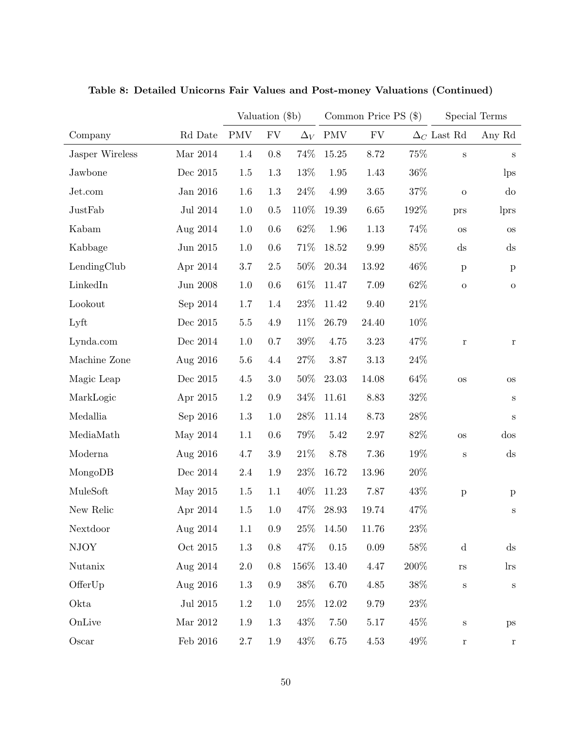|                 |                     |            | Valuation (\$b) |            | Common Price PS $(\$)$ |            |        | Special Terms          |                        |
|-----------------|---------------------|------------|-----------------|------------|------------------------|------------|--------|------------------------|------------------------|
| Company         | Rd Date             | <b>PMV</b> | ${\rm FV}$      | $\Delta_V$ | <b>PMV</b>             | ${\rm FV}$ |        | $\Delta_C$ Last Rd     | Any Rd                 |
| Jasper Wireless | Mar 2014            | 1.4        | 0.8             | 74%        | 15.25                  | 8.72       | 75%    | $\mathbf S$            | $\mathbf S$            |
| Jawbone         | Dec 2015            | 1.5        | 1.3             | $13\%$     | 1.95                   | 1.43       | 36\%   |                        | lps                    |
| Jet.com         | Jan 2016            | $1.6\,$    | 1.3             | $24\%$     | 4.99                   | 3.65       | $37\%$ | ${\rm O}$              | $d\sigma$              |
| JustFab         | Jul 2014            | 1.0        | $0.5\,$         | 110%       | 19.39                  | 6.65       | 192%   | prs                    | lprs                   |
| Kabam           | Aug 2014            | 1.0        | 0.6             | $62\%$     | 1.96                   | 1.13       | 74%    | $\rm OS$               | <b>OS</b>              |
| Kabbage         | Jun 2015            | 1.0        | 0.6             | $71\%$     | 18.52                  | 9.99       | 85%    | $\mathrm{d}\mathbf{s}$ | $\mathrm{d}\mathrm{s}$ |
| LendingClub     | Apr 2014            | 3.7        | $2.5\,$         | 50%        | 20.34                  | 13.92      | 46%    | $\, {\bf p}$           | $\, {\bf p}$           |
| LinkedIn        | $\rm Jun$ $\,2008$  | 1.0        | 0.6             | $61\%$     | 11.47                  | 7.09       | 62%    | ${\rm O}$              | $\mathbf O$            |
| Lookout         | Sep 2014            | 1.7        | 1.4             | $23\%$     | 11.42                  | 9.40       | $21\%$ |                        |                        |
| Lyft            | Dec 2015            | $5.5\,$    | 4.9             | 11\%       | 26.79                  | 24.40      | 10%    |                        |                        |
| Lynda.com       | Dec 2014            | 1.0        | 0.7             | $39\%$     | 4.75                   | $3.23\,$   | 47%    | $\mathbf r$            | $\bf r$                |
| Machine Zone    | Aug 2016            | 5.6        | 4.4             | 27\%       | 3.87                   | $3.13\,$   | 24\%   |                        |                        |
| Magic Leap      | Dec 2015            | 4.5        | $3.0\,$         | $50\%$     | 23.03                  | 14.08      | 64%    | $\rm OS$               | <b>OS</b>              |
| MarkLogic       | Apr 2015            | $1.2\,$    | 0.9             | $34\%$     | 11.61                  | 8.83       | $32\%$ |                        | S                      |
| Medallia        | Sep 2016            | $1.3\,$    | 1.0             | $28\%$     | 11.14                  | 8.73       | 28\%   |                        | S                      |
| MediaMath       | May 2014            | 1.1        | 0.6             | 79%        | 5.42                   | 2.97       | 82%    | $\rm OS$               | $\cos$                 |
| Moderna         | Aug 2016            | 4.7        | $3.9\,$         | $21\%$     | 8.78                   | 7.36       | 19%    | $\, {\bf S}$           | $\mathrm{d}\mathbf{s}$ |
| MongoDB         | Dec 2014            | 2.4        | 1.9             | $23\%$     | 16.72                  | 13.96      | $20\%$ |                        |                        |
| MuleSoft        | May 2015            | 1.5        | 1.1             | 40\%       | 11.23                  | 7.87       | 43%    | $\, {\bf p}$           | $\mathbf{p}$           |
| New Relic       | Apr 2014            | 1.5        | 1.0             | 47\%       | 28.93                  | 19.74      | 47%    |                        | S                      |
| Nextdoor        | Aug 2014            | 1.1        | $\rm 0.9$       | $25\%$     | 14.50                  | 11.76      | 23%    |                        |                        |
| <b>NJOY</b>     | Oct $2015\,$        | $1.3\,$    | $0.8\,$         | 47%        | $0.15\,$               | $0.09\,$   | $58\%$ | $\mathbf d$            | $\mathrm{d}\mathbf{s}$ |
| Nutanix         | Aug 2014            | $2.0\,$    | $0.8\,$         | 156\%      | 13.40                  | 4.47       | 200%   | $_{\rm rs}$            | $\ln s$                |
| OfferUp         | Aug 2016            | 1.3        | $0.9\,$         | 38\%       | 6.70                   | 4.85       | 38\%   | $\mathbf S$            | $\mathbf S$            |
| Okta            | $\rm{Jul}$ $\,2015$ | $1.2\,$    | 1.0             | 25%        | 12.02                  | 9.79       | 23\%   |                        |                        |
| OnLive          | Mar $2012\,$        | $1.9\,$    | 1.3             | 43\%       | 7.50                   | $5.17\,$   | 45%    | $\mathbf S$            | $\, {\rm ps}$          |
| Oscar           | Feb $2016$          | $2.7\,$    | 1.9             | 43\%       | 6.75                   | 4.53       | 49\%   | $\bf r$                | $\bf r$                |

Table 8: Detailed Unicorns Fair Values and Post-money Valuations (Continued)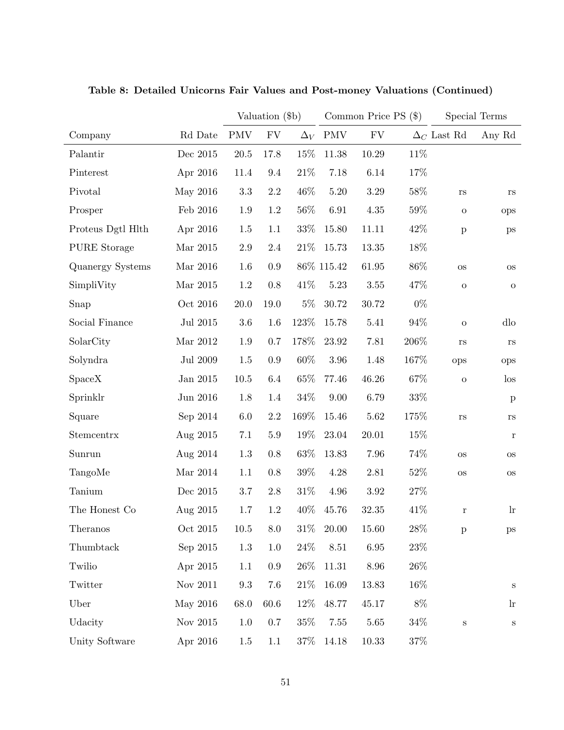|                     |                 | Valuation (\$b) |            |            |            | Common Price PS $(\$)$ | Special Terms |                    |               |
|---------------------|-----------------|-----------------|------------|------------|------------|------------------------|---------------|--------------------|---------------|
| Company             | Rd Date         | <b>PMV</b>      | ${\rm FV}$ | $\Delta_V$ | <b>PMV</b> | ${\rm FV}$             |               | $\Delta_C$ Last Rd | Any Rd        |
| Palantir            | Dec 2015        | $20.5\,$        | 17.8       | 15%        | 11.38      | 10.29                  | 11\%          |                    |               |
| Pinterest           | Apr 2016        | 11.4            | 9.4        | $21\%$     | 7.18       | 6.14                   | 17%           |                    |               |
| Pivotal             | May 2016        | $3.3\,$         | $2.2\,$    | 46\%       | 5.20       | $3.29\,$               | $58\%$        | <b>rs</b>          | <b>rs</b>     |
| Prosper             | Feb 2016        | 1.9             | 1.2        | 56\%       | 6.91       | $4.35\,$               | $59\%$        | $\mathbf O$        | ops           |
| Proteus Dgtl Hlth   | Apr 2016        | 1.5             | 1.1        | 33\%       | 15.80      | 11.11                  | 42\%          | $\, {\bf p}$       | ps            |
| <b>PURE</b> Storage | Mar 2015        | $2.9\,$         | $2.4\,$    | $21\%$     | 15.73      | 13.35                  | 18%           |                    |               |
| Quanergy Systems    | Mar 2016        | $1.6\,$         | 0.9        |            | 86% 115.42 | 61.95                  | $86\%$        | <b>OS</b>          | <b>OS</b>     |
| SimpliVity          | Mar $2015$      | $1.2\,$         | 0.8        | 41\%       | 5.23       | $3.55\,$               | 47%           | ${\rm O}$          | $\mathbf O$   |
| Snap                | Oct 2016        | 20.0            | 19.0       | $5\%$      | 30.72      | 30.72                  | $0\%$         |                    |               |
| Social Finance      | Jul 2015        | $3.6\,$         | 1.6        | 123%       | 15.78      | 5.41                   | $94\%$        | $\mathbf{o}$       | dlo           |
| SolarCity           | Mar 2012        | 1.9             | 0.7        | 178%       | 23.92      | 7.81                   | 206\%         | rs                 | rs            |
| Solyndra            | <b>Jul 2009</b> | 1.5             | 0.9        | $60\%$     | 3.96       | 1.48                   | 167%          | ops                | ops           |
| <b>SpaceX</b>       | Jan 2015        | 10.5            | 6.4        | 65%        | 77.46      | 46.26                  | $67\%$        | ${\rm O}$          | $\log$        |
| Sprinklr            | Jun 2016        | 1.8             | 1.4        | $34\%$     | 9.00       | 6.79                   | $33\%$        |                    | $\mathbf{p}$  |
| Square              | Sep 2014        | $6.0\,$         | 2.2        | 169%       | 15.46      | 5.62                   | 175%          | $\rm{rs}$          | rs            |
| Stemcentrx          | Aug 2015        | $7.1\,$         | $5.9\,$    | 19%        | 23.04      | 20.01                  | 15%           |                    | r             |
| Sunrun              | Aug 2014        | $1.3\,$         | 0.8        | 63\%       | 13.83      | 7.96                   | 74%           | <b>OS</b>          | <b>OS</b>     |
| TangoMe             | Mar 2014        | 1.1             | 0.8        | $39\%$     | 4.28       | 2.81                   | 52\%          | <b>OS</b>          | <b>OS</b>     |
| Tanium              | Dec 2015        | 3.7             | 2.8        | $31\%$     | 4.96       | $3.92\,$               | 27\%          |                    |               |
| The Honest Co       | Aug 2015        | 1.7             | $1.2\,$    | 40\%       | 45.76      | 32.35                  | 41%           | $\bf r$            | $\ln$         |
| Theranos            | Oct 2015        | $10.5\,$        | 8.0        | $31\%$     | 20.00      | 15.60                  | 28\%          | $\mathbf{p}$       | $\, {\rm ps}$ |
| Thumbtack           | Sep 2015        | 1.3             | 1.0        | $24\%$     | 8.51       | $6.95\,$               | 23\%          |                    |               |
| Twilio              | Apr 2015        | 1.1             | $0.9\,$    | $26\%$     | 11.31      | 8.96                   | 26\%          |                    |               |
| Twitter             | Nov 2011        | $9.3\,$         | 7.6        | 21\%       | 16.09      | 13.83                  | 16%           |                    | S             |
| Uber                | May 2016        | 68.0            | 60.6       | 12\%       | 48.77      | 45.17                  | $8\%$         |                    | $\ln$         |
| Udacity             | Nov 2015        | 1.0             | 0.7        | 35\%       | 7.55       | 5.65                   | $34\%$        | $\mathbf S$        | $\rm S$       |
| Unity Software      | Apr 2016        | 1.5             | 1.1        | 37\%       | 14.18      | $10.33\,$              | 37%           |                    |               |

Table 8: Detailed Unicorns Fair Values and Post-money Valuations (Continued)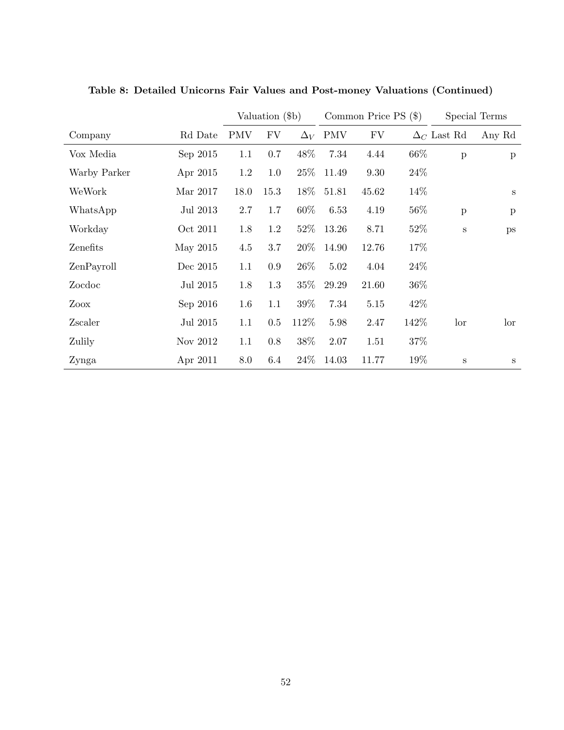|              |            |            | Valuation (\$b) |            |       | Common Price $PS$ (\$) |      |                    | Special Terms |
|--------------|------------|------------|-----------------|------------|-------|------------------------|------|--------------------|---------------|
| Company      | Rd Date    | <b>PMV</b> | FV              | $\Delta_V$ | PMV   | FV                     |      | $\Delta_C$ Last Rd | Any Rd        |
| Vox Media    | Sep $2015$ | 1.1        | 0.7             | 48\%       | 7.34  | 4.44                   | 66\% | $\mathbf{p}$       | $\mathbf{p}$  |
| Warby Parker | Apr 2015   | 1.2        | 1.0             | $25\%$     | 11.49 | 9.30                   | 24\% |                    |               |
| WeWork       | Mar 2017   | 18.0       | 15.3            | $18\%$     | 51.81 | 45.62                  | 14%  |                    | S             |
| WhatsApp     | Jul 2013   | $2.7\,$    | 1.7             | 60%        | 6.53  | 4.19                   | 56\% | $\, {\bf p}$       | $\mathbf{p}$  |
| Workday      | Oct 2011   | 1.8        | 1.2             | $52\%$     | 13.26 | 8.71                   | 52\% | $\rm S$            | ps            |
| Zenefits     | May 2015   | 4.5        | 3.7             | $20\%$     | 14.90 | 12.76                  | 17%  |                    |               |
| ZenPayroll   | Dec 2015   | 1.1        | 0.9             | 26\%       | 5.02  | 4.04                   | 24\% |                    |               |
| Zocdoc       | Jul 2015   | 1.8        | 1.3             | $35\%$     | 29.29 | 21.60                  | 36\% |                    |               |
| Zoox         | Sep 2016   | 1.6        | 1.1             | 39%        | 7.34  | 5.15                   | 42\% |                    |               |
| Zscaler      | Jul 2015   | 1.1        | 0.5             | 112\%      | 5.98  | 2.47                   | 142% | lor                | lor           |
| Zulily       | Nov 2012   | 1.1        | 0.8             | 38%        | 2.07  | 1.51                   | 37%  |                    |               |
| Zynga        | Apr 2011   | 8.0        | 6.4             | $24\%$     | 14.03 | 11.77                  | 19%  | S                  | S             |

Table 8: Detailed Unicorns Fair Values and Post-money Valuations (Continued)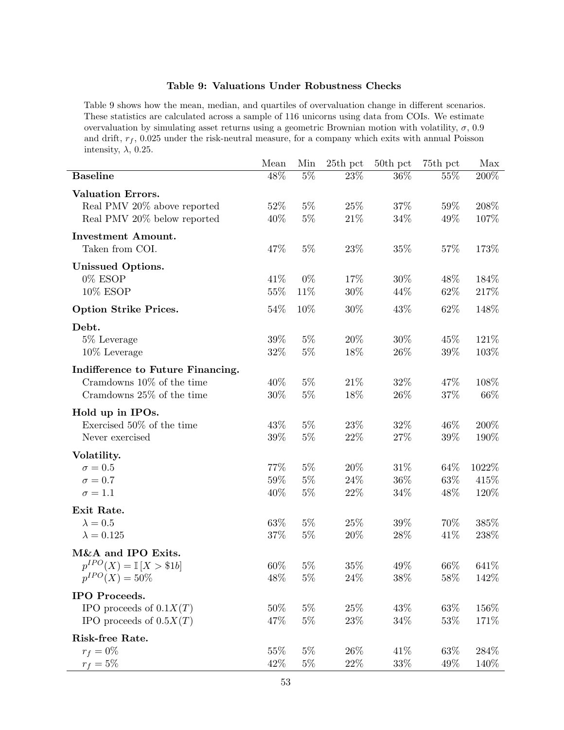## Table 9: Valuations Under Robustness Checks

Table 9 shows how the mean, median, and quartiles of overvaluation change in different scenarios. These statistics are calculated across a sample of 116 unicorns using data from COIs. We estimate overvaluation by simulating asset returns using a geometric Brownian motion with volatility,  $\sigma$ , 0.9 and drift,  $r_f$ , 0.025 under the risk-neutral measure, for a company which exits with annual Poisson intensity,  $\lambda$ , 0.25.

|                                     | Mean   | Min   | 25th pct | 50th pct | 75th pct | Max     |
|-------------------------------------|--------|-------|----------|----------|----------|---------|
| <b>Baseline</b>                     | 48\%   | $5\%$ | 23%      | 36%      | 55%      | 200%    |
| <b>Valuation Errors.</b>            |        |       |          |          |          |         |
| Real PMV 20% above reported         | 52%    | $5\%$ | 25\%     | $37\%$   | 59%      | $208\%$ |
| Real PMV 20% below reported         | 40%    | $5\%$ | $21\%$   | $34\%$   | 49%      | 107%    |
| <b>Investment Amount.</b>           |        |       |          |          |          |         |
| Taken from COI.                     | 47\%   | $5\%$ | 23\%     | 35%      | 57%      | 173%    |
| <b>Unissued Options.</b>            |        |       |          |          |          |         |
| 0% ESOP                             | 41\%   | $0\%$ | 17%      | 30%      | 48\%     | 184%    |
| 10% ESOP                            | $55\%$ | 11%   | $30\%$   | 44%      | 62%      | 217%    |
| <b>Option Strike Prices.</b>        | 54\%   | 10%   | $30\%$   | 43%      | 62%      | 148%    |
| Debt.                               |        |       |          |          |          |         |
| 5\% Leverage                        | 39\%   | $5\%$ | $20\%$   | 30%      | 45\%     | 121\%   |
| 10% Leverage                        | $32\%$ | $5\%$ | 18%      | $26\%$   | 39%      | 103%    |
| Indifference to Future Financing.   |        |       |          |          |          |         |
| Cramdowns 10% of the time           | 40\%   | $5\%$ | 21\%     | 32%      | 47\%     | 108%    |
| Cramdowns 25% of the time           | 30%    | $5\%$ | 18%      | $26\%$   | $37\%$   | 66\%    |
| Hold up in IPOs.                    |        |       |          |          |          |         |
| Exercised $50\%$ of the time        | 43\%   | $5\%$ | 23\%     | 32\%     | 46%      | 200%    |
| Never exercised                     | 39\%   | $5\%$ | 22\%     | $27\%$   | 39\%     | 190%    |
| Volatility.                         |        |       |          |          |          |         |
| $\sigma=0.5$                        | 77%    | $5\%$ | 20%      | $31\%$   | 64%      | 1022\%  |
| $\sigma = 0.7$                      | $59\%$ | $5\%$ | 24\%     | $36\%$   | 63%      | 415%    |
| $\sigma = 1.1$                      | 40\%   | $5\%$ | 22\%     | 34\%     | 48\%     | 120\%   |
| Exit Rate.                          |        |       |          |          |          |         |
| $\lambda=0.5$                       | $63\%$ | $5\%$ | $25\%$   | $39\%$   | 70%      | 385%    |
| $\lambda = 0.125$                   | $37\%$ | $5\%$ | 20%      | 28\%     | 41\%     | 238\%   |
| M&A and IPO Exits.                  |        |       |          |          |          |         |
| $p^{IPO}(X) = \mathbb{I} [X > $1b]$ | 60%    | $5\%$ | 35%      | 49%      | 66\%     | 641\%   |
| $p^{IPO}(X) = 50\%$                 | 48%    | $5\%$ | 24\%     | 38\%     | 58\%     | 142\%   |
| IPO Proceeds.                       |        |       |          |          |          |         |
| IPO proceeds of $0.1X(T)$           | 50%    | $5\%$ | 25\%     | 43%      | 63\%     | 156%    |
| IPO proceeds of $0.5X(T)$           | 47%    | $5\%$ | 23\%     | 34%      | 53%      | 171%    |
| Risk-free Rate.                     |        |       |          |          |          |         |
| $r_f = 0\%$                         | 55%    | $5\%$ | $26\%$   | 41\%     | 63%      | 284\%   |
| $r_f = 5\%$                         | 42%    | $5\%$ | $22\%$   | 33\%     | 49\%     | 140\%   |